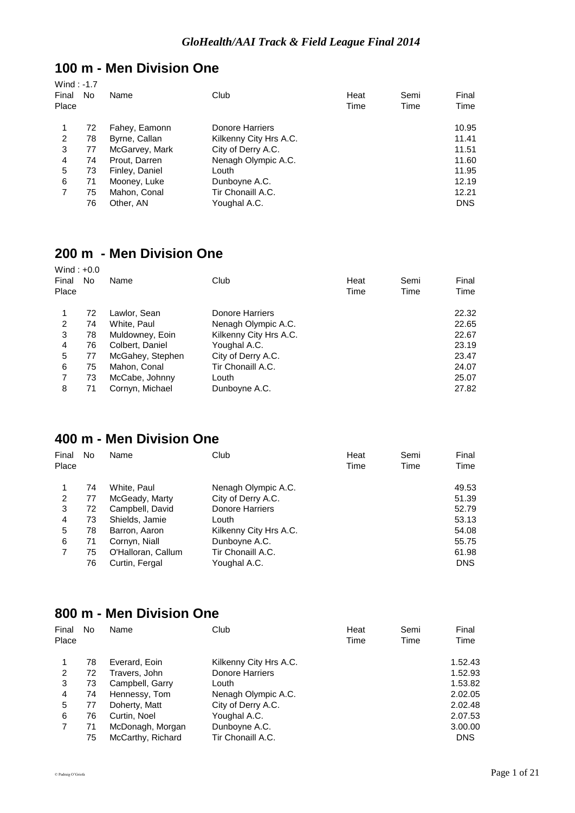#### **100 m - Men Division One**  $Wind \cdot -1.7$

| $V$ $V$ $H$ $H$ $H$ $H$ $H$ $H$ |    |                |                        |              |              |               |
|---------------------------------|----|----------------|------------------------|--------------|--------------|---------------|
| Final<br>Place                  | No | Name           | Club                   | Heat<br>Time | Semi<br>Time | Final<br>Time |
|                                 | 72 | Fahey, Eamonn  | Donore Harriers        |              |              | 10.95         |
| 2                               | 78 | Byrne, Callan  | Kilkenny City Hrs A.C. |              |              | 11.41         |
| 3                               | 77 | McGarvey, Mark | City of Derry A.C.     |              |              | 11.51         |
| 4                               | 74 | Prout, Darren  | Nenagh Olympic A.C.    |              |              | 11.60         |
| 5                               | 73 | Finley, Daniel | Louth                  |              |              | 11.95         |
| 6                               | 71 | Mooney, Luke   | Dunboyne A.C.          |              |              | 12.19         |
| 7                               | 75 | Mahon, Conal   | Tir Chonaill A.C.      |              |              | 12.21         |
|                                 | 76 | Other, AN      | Youghal A.C.           |              |              | <b>DNS</b>    |
|                                 |    |                |                        |              |              |               |

# **200 m - Men Division One**

| Wind: $+0.0$<br>Final<br>Place | No | Name             | Club                   | Heat<br>Time | Semi<br>Time | Final<br>Time |
|--------------------------------|----|------------------|------------------------|--------------|--------------|---------------|
|                                | 72 | Lawlor, Sean     | Donore Harriers        |              |              | 22.32         |
| 2                              | 74 | White, Paul      | Nenagh Olympic A.C.    |              |              | 22.65         |
| 3                              | 78 | Muldowney, Eoin  | Kilkenny City Hrs A.C. |              |              | 22.67         |
| 4                              | 76 | Colbert, Daniel  | Youghal A.C.           |              |              | 23.19         |
| 5                              | 77 | McGahey, Stephen | City of Derry A.C.     |              |              | 23.47         |
| 6                              | 75 | Mahon, Conal     | Tir Chonaill A.C.      |              |              | 24.07         |
| 7                              | 73 | McCabe, Johnny   | Louth                  |              |              | 25.07         |
| 8                              | 71 | Cornyn, Michael  | Dunboyne A.C.          |              |              | 27.82         |

#### **400 m - Men Division One**

| Final<br>Place | No | Name               | Club                   | Heat<br>Time | Semi<br>Time | Final<br>Time |
|----------------|----|--------------------|------------------------|--------------|--------------|---------------|
|                | 74 | White, Paul        | Nenagh Olympic A.C.    |              |              | 49.53         |
| 2              | 77 | McGeady, Marty     | City of Derry A.C.     |              |              | 51.39         |
| 3              | 72 | Campbell, David    | <b>Donore Harriers</b> |              |              | 52.79         |
| 4              | 73 | Shields, Jamie     | Louth                  |              |              | 53.13         |
| 5              | 78 | Barron, Aaron      | Kilkenny City Hrs A.C. |              |              | 54.08         |
| 6              | 71 | Cornyn, Niall      | Dunboyne A.C.          |              |              | 55.75         |
|                | 75 | O'Halloran, Callum | Tir Chonaill A.C.      |              |              | 61.98         |
|                | 76 | Curtin, Fergal     | Youghal A.C.           |              |              | <b>DNS</b>    |

# **800 m - Men Division One**

| Final<br>Place | No | Name              | Club                   | Heat<br>Time | Semi<br>Time | Final<br>Time |
|----------------|----|-------------------|------------------------|--------------|--------------|---------------|
|                |    |                   |                        |              |              |               |
| 1              | 78 | Everard, Eoin     | Kilkenny City Hrs A.C. |              |              | 1.52.43       |
| 2              | 72 | Travers, John     | <b>Donore Harriers</b> |              |              | 1.52.93       |
| 3              | 73 | Campbell, Garry   | Louth                  |              |              | 1.53.82       |
| 4              | 74 | Hennessy, Tom     | Nenagh Olympic A.C.    |              |              | 2.02.05       |
| 5              | 77 | Doherty, Matt     | City of Derry A.C.     |              |              | 2.02.48       |
| 6              | 76 | Curtin, Noel      | Youghal A.C.           |              |              | 2.07.53       |
|                | 71 | McDonagh, Morgan  | Dunboyne A.C.          |              |              | 3.00.00       |
|                | 75 | McCarthy, Richard | Tir Chonaill A.C.      |              |              | <b>DNS</b>    |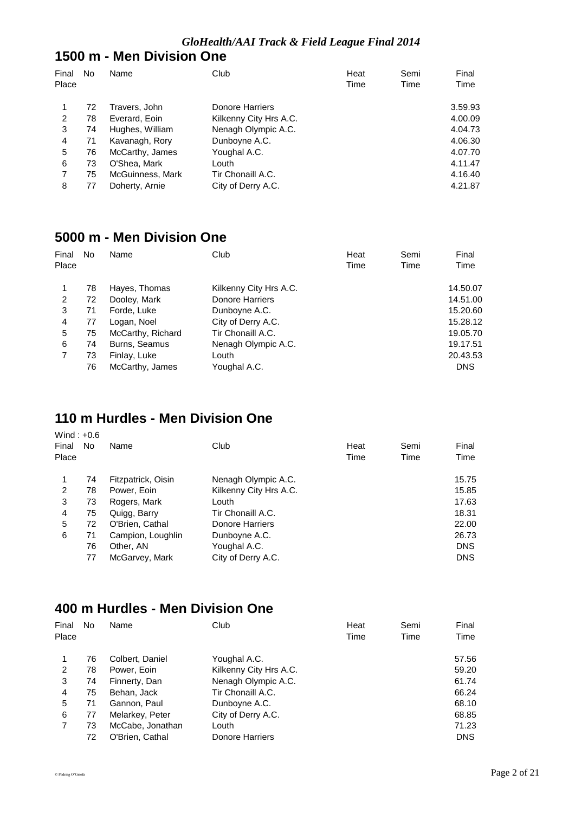#### **1500 m - Men Division One**

| Final<br>Place | No | Name             | Club                   | Heat<br>Time | Semi<br>Time | Final<br>Time |
|----------------|----|------------------|------------------------|--------------|--------------|---------------|
|                |    |                  |                        |              |              |               |
|                | 72 | Travers, John    | Donore Harriers        |              |              | 3.59.93       |
| 2              | 78 | Everard, Eoin    | Kilkenny City Hrs A.C. |              |              | 4.00.09       |
| 3              | 74 | Hughes, William  | Nenagh Olympic A.C.    |              |              | 4.04.73       |
| 4              | 71 | Kavanagh, Rory   | Dunboyne A.C.          |              |              | 4.06.30       |
| 5              | 76 | McCarthy, James  | Youghal A.C.           |              |              | 4.07.70       |
| 6              | 73 | O'Shea, Mark     | Louth                  |              |              | 4.11.47       |
|                | 75 | McGuinness, Mark | Tir Chonaill A.C.      |              |              | 4.16.40       |
| 8              | 77 | Doherty, Arnie   | City of Derry A.C.     |              |              | 4.21.87       |

#### **5000 m - Men Division One**

| Final | No | Name              | Club                   | Heat | Semi | Final      |
|-------|----|-------------------|------------------------|------|------|------------|
| Place |    |                   |                        | Time | Time | Time       |
|       | 78 | Hayes, Thomas     | Kilkenny City Hrs A.C. |      |      | 14.50.07   |
| 2     | 72 | Dooley, Mark      | <b>Donore Harriers</b> |      |      | 14.51.00   |
| 3     | 71 | Forde, Luke       | Dunboyne A.C.          |      |      | 15,20.60   |
| 4     | 77 | Logan, Noel       | City of Derry A.C.     |      |      | 15.28.12   |
| 5     | 75 | McCarthy, Richard | Tir Chonaill A.C.      |      |      | 19.05.70   |
| 6     | 74 | Burns, Seamus     | Nenagh Olympic A.C.    |      |      | 19.17.51   |
| 7     | 73 | Finlay, Luke      | Louth                  |      |      | 20.43.53   |
|       | 76 | McCarthy, James   | Youghal A.C.           |      |      | <b>DNS</b> |

# **110 m Hurdles - Men Division One**

| Wind: $+0.6$<br>Final<br>Place | No | Name               | Club                   | Heat<br>Time | Semi<br>Time | Final<br>Time |
|--------------------------------|----|--------------------|------------------------|--------------|--------------|---------------|
|                                |    |                    |                        |              |              |               |
|                                | 74 | Fitzpatrick, Oisin | Nenagh Olympic A.C.    |              |              | 15.75         |
| 2                              | 78 | Power, Eoin        | Kilkenny City Hrs A.C. |              |              | 15.85         |
| 3                              | 73 | Rogers, Mark       | Louth                  |              |              | 17.63         |
| 4                              | 75 | Quigg, Barry       | Tir Chonaill A.C.      |              |              | 18.31         |
| 5                              | 72 | O'Brien, Cathal    | <b>Donore Harriers</b> |              |              | 22.00         |
| 6                              | 71 | Campion, Loughlin  | Dunboyne A.C.          |              |              | 26.73         |
|                                | 76 | Other, AN          | Youghal A.C.           |              |              | <b>DNS</b>    |
|                                | 77 | McGarvey, Mark     | City of Derry A.C.     |              |              | <b>DNS</b>    |

# **400 m Hurdles - Men Division One**

| Final<br>Place | No | Name             | Club                   | Heat<br>Time | Semi<br>Time | Final<br>Time |
|----------------|----|------------------|------------------------|--------------|--------------|---------------|
| 1              | 76 | Colbert, Daniel  | Youghal A.C.           |              |              | 57.56         |
| 2              | 78 | Power, Eoin      | Kilkenny City Hrs A.C. |              |              | 59.20         |
| 3              | 74 | Finnerty, Dan    | Nenagh Olympic A.C.    |              |              | 61.74         |
| 4              | 75 | Behan, Jack      | Tir Chonaill A.C.      |              |              | 66.24         |
| 5              | 71 | Gannon, Paul     | Dunboyne A.C.          |              |              | 68.10         |
| 6              | 77 | Melarkey, Peter  | City of Derry A.C.     |              |              | 68.85         |
|                | 73 | McCabe, Jonathan | Louth                  |              |              | 71.23         |
|                | 72 | O'Brien, Cathal  | Donore Harriers        |              |              | <b>DNS</b>    |
|                |    |                  |                        |              |              |               |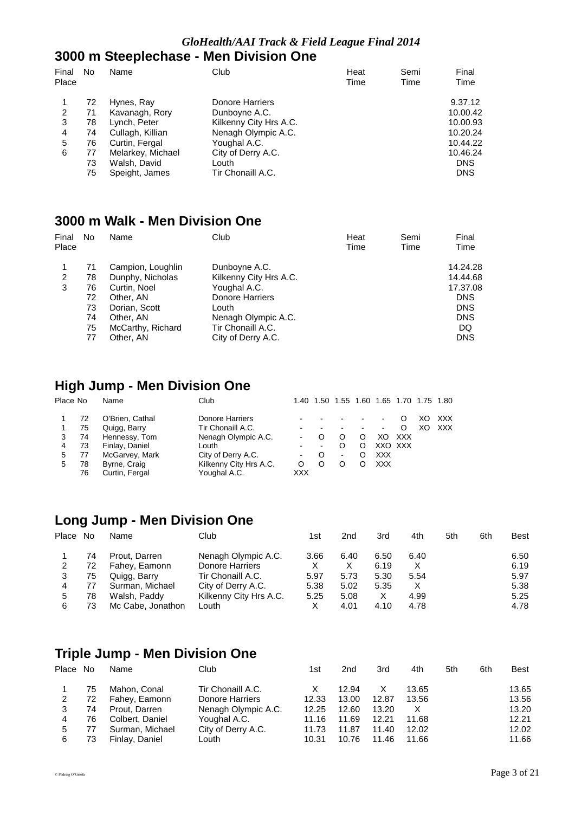### *GloHealth/AAI Track & Field League Final 2014*

#### **3000 m Steeplechase - Men Division One**

| Final<br>Place | No | Name              | Club                   | Heat<br>Time | Semi<br>Time | Final<br>Time |
|----------------|----|-------------------|------------------------|--------------|--------------|---------------|
|                | 72 | Hynes, Ray        | Donore Harriers        |              |              | 9.37.12       |
| 2              | 71 | Kavanagh, Rory    | Dunboyne A.C.          |              |              | 10.00.42      |
| 3              | 78 | Lynch, Peter      | Kilkenny City Hrs A.C. |              |              | 10.00.93      |
| 4              | 74 | Cullagh, Killian  | Nenagh Olympic A.C.    |              |              | 10.20.24      |
| 5              | 76 | Curtin, Fergal    | Youghal A.C.           |              |              | 10.44.22      |
| 6              | 77 | Melarkey, Michael | City of Derry A.C.     |              |              | 10.46.24      |
|                | 73 | Walsh, David      | Louth                  |              |              | <b>DNS</b>    |
|                | 75 | Speight, James    | Tir Chonaill A.C.      |              |              | <b>DNS</b>    |

# **3000 m Walk - Men Division One**

| Final<br>Place | No | Name              | Club                   | Heat<br>Time | Semi<br>Time | Final<br>Time |
|----------------|----|-------------------|------------------------|--------------|--------------|---------------|
|                | 71 | Campion, Loughlin | Dunboyne A.C.          |              |              | 14.24.28      |
| 2              | 78 | Dunphy, Nicholas  | Kilkenny City Hrs A.C. |              |              | 14.44.68      |
| 3              | 76 | Curtin, Noel      | Youghal A.C.           |              |              | 17.37.08      |
|                | 72 | Other, AN         | <b>Donore Harriers</b> |              |              | <b>DNS</b>    |
|                | 73 | Dorian, Scott     | Louth                  |              |              | <b>DNS</b>    |
|                | 74 | Other, AN         | Nenagh Olympic A.C.    |              |              | <b>DNS</b>    |
|                | 75 | McCarthy, Richard | Tir Chonaill A.C.      |              |              | DQ            |
|                | 77 | Other, AN         | City of Derry A.C.     |              |              | <b>DNS</b>    |

### **High Jump - Men Division One**

| Place No |    | Name            | Club                   |                | 1.40 1.50 1.55 1.60 1.65 1.70 1.75 1.80 |                          |   |         |     |     |            |
|----------|----|-----------------|------------------------|----------------|-----------------------------------------|--------------------------|---|---------|-----|-----|------------|
|          | 72 | O'Brien, Cathal | <b>Donore Harriers</b> | -              |                                         |                          |   |         |     |     | <b>XXX</b> |
|          | 75 | Quigg, Barry    | Tir Chonaill A.C.      | $\,$           |                                         |                          |   | ۰.      | O   | XO. | XXX        |
|          | 74 | Hennessy, Tom   | Nenagh Olympic A.C.    | $\blacksquare$ |                                         |                          |   | XO      | XXX |     |            |
| 4        | 73 | Finlay, Daniel  | Louth                  | $\,$           | $\blacksquare$                          | O                        | O | XXO XXX |     |     |            |
| 5        | 77 | McGarvey, Mark  | City of Derry A.C.     | $\blacksquare$ | O                                       | $\overline{\phantom{a}}$ | O | XXX     |     |     |            |
| 5        | 78 | Byrne, Craig    | Kilkenny City Hrs A.C. | O              |                                         | O                        | D | XXX     |     |     |            |
|          | 76 | Curtin, Fergal  | Youghal A.C.           | <b>XXX</b>     |                                         |                          |   |         |     |     |            |

# **Long Jump - Men Division One**

| Place No |    | Name              | Club                   | 1st  | 2 <sub>nd</sub> | 3rd  | 4th  | 5th | 6th | <b>Best</b> |
|----------|----|-------------------|------------------------|------|-----------------|------|------|-----|-----|-------------|
|          | 74 | Prout, Darren     | Nenagh Olympic A.C.    | 3.66 | 6.40            | 6.50 | 6.40 |     |     | 6.50        |
| 2        | 72 | Fahey, Eamonn     | Donore Harriers        |      | х               | 6.19 |      |     |     | 6.19        |
|          | 75 | Quigg, Barry      | Tir Chonaill A.C.      | 5.97 | 5.73            | 5.30 | 5.54 |     |     | 5.97        |
| 4        | 77 | Surman, Michael   | City of Derry A.C.     | 5.38 | 5.02            | 5.35 |      |     |     | 5.38        |
| 5        | 78 | Walsh, Paddy      | Kilkenny City Hrs A.C. | 5.25 | 5.08            | X    | 4.99 |     |     | 5.25        |
| 6        | 73 | Mc Cabe, Jonathon | ∟outh                  |      | 4.01            | 4.10 | 4.78 |     |     | 4.78        |

# **Triple Jump - Men Division One**

| Place No |    | Name            | Club                | 1st   | 2 <sub>nd</sub> | 3rd   | 4th   | 5th | 6th | <b>Best</b> |
|----------|----|-----------------|---------------------|-------|-----------------|-------|-------|-----|-----|-------------|
|          | 75 | Mahon, Conal    | Tir Chonaill A.C.   |       | 12.94           |       | 13.65 |     |     | 13.65       |
| 2        | 72 | Fahey, Eamonn   | Donore Harriers     | 12.33 | 13.00           | 12.87 | 13.56 |     |     | 13.56       |
|          | 74 | Prout. Darren   | Nenagh Olympic A.C. | 12.25 | 12.60           | 13.20 |       |     |     | 13.20       |
| 4        | 76 | Colbert, Daniel | Youghal A.C.        | 11.16 | 11.69           | 12.21 | 11.68 |     |     | 12.21       |
| 5        |    | Surman, Michael | City of Derry A.C.  | 11.73 | 11.87           | 11.40 | 12.02 |     |     | 12.02       |
| 6        | 73 | Finlay, Daniel  | Louth               | 10.31 | 10.76           | 11.46 | 11.66 |     |     | 11.66       |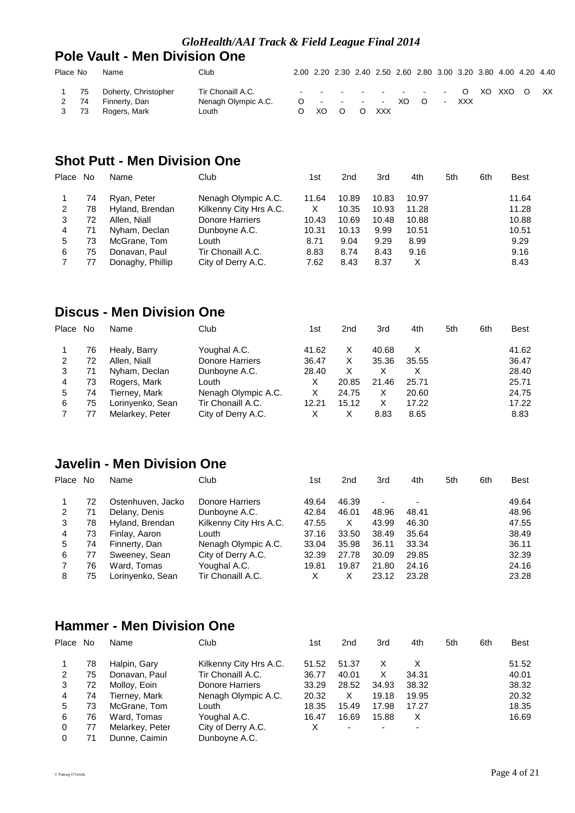### **Pole Vault - Men Division One**

| Place No           | Name                                                  | Club                                              |        |  | 2.00 2.20 2.30 2.40 2.50 2.60 2.80 3.00 3.20 3.80 4.00 4.20 4.40 |  |  |  |     |
|--------------------|-------------------------------------------------------|---------------------------------------------------|--------|--|------------------------------------------------------------------|--|--|--|-----|
| 75<br>2 74<br>3 73 | Doherty, Christopher<br>Finnerty, Dan<br>Rogers, Mark | Tir Chonaill A.C.<br>Nenagh Olympic A.C.<br>Louth | O XO O |  | $       0$ XO XXO O<br>0 - - - - XO O - XXX<br>O XXX             |  |  |  | XX. |

# **Shot Putt - Men Division One**

| Place No |    | Name             | Club                   | 1st   | 2nd   | 3rd   | 4th   | 5th | 6th | <b>Best</b> |
|----------|----|------------------|------------------------|-------|-------|-------|-------|-----|-----|-------------|
|          | 74 | Ryan, Peter      | Nenagh Olympic A.C.    | 11.64 | 10.89 | 10.83 | 10.97 |     |     | 11.64       |
| 2        | 78 | Hyland, Brendan  | Kilkenny City Hrs A.C. | х     | 10.35 | 10.93 | 11.28 |     |     | 11.28       |
| 3        | 72 | Allen, Niall     | Donore Harriers        | 10.43 | 10.69 | 10.48 | 10.88 |     |     | 10.88       |
| 4        | 71 | Nyham, Declan    | Dunboyne A.C.          | 10.31 | 10.13 | 9.99  | 10.51 |     |     | 10.51       |
| 5        | 73 | McGrane, Tom     | ∟outh                  | 8.71  | 9.04  | 9.29  | 8.99  |     |     | 9.29        |
| 6        | 75 | Donavan, Paul    | Tir Chonaill A.C.      | 8.83  | 8.74  | 8.43  | 9.16  |     |     | 9.16        |
|          | 77 | Donaghy, Phillip | City of Derry A.C.     | 7.62  | 8.43  | 8.37  | х     |     |     | 8.43        |

# **Discus - Men Division One**

| Place | No | Name             | Club                | 1st   | 2nd   | 3rd   | 4th   | 5th | 6th | <b>Best</b> |
|-------|----|------------------|---------------------|-------|-------|-------|-------|-----|-----|-------------|
|       | 76 | Healy, Barry     | Youghal A.C.        | 41.62 | х     | 40.68 |       |     |     | 41.62       |
| 2     | 72 | Allen, Niall     | Donore Harriers     | 36.47 | х     | 35.36 | 35.55 |     |     | 36.47       |
| 3     | 71 | Nyham, Declan    | Dunboyne A.C.       | 28.40 | х     |       |       |     |     | 28.40       |
| 4     | 73 | Rogers, Mark     | Louth               | x     | 20.85 | 21.46 | 25.71 |     |     | 25.71       |
| 5     | 74 | Tierney, Mark    | Nenagh Olympic A.C. | х     | 24.75 | х     | 20.60 |     |     | 24.75       |
| 6     | 75 | Lorinyenko, Sean | Tir Chonaill A.C.   | 12.21 | 15.12 | х     | 17.22 |     |     | 17.22       |
|       |    | Melarkey, Peter  | City of Derry A.C.  |       | х     | 8.83  | 8.65  |     |     | 8.83        |

# **Javelin - Men Division One**

| Place | No | Name              | Club                   | 1st   | 2nd   | 3rd            | 4th                      | 5th | 6th | <b>Best</b> |
|-------|----|-------------------|------------------------|-------|-------|----------------|--------------------------|-----|-----|-------------|
|       | 72 | Ostenhuven, Jacko | Donore Harriers        | 49.64 | 46.39 | $\overline{a}$ | $\overline{\phantom{0}}$ |     |     | 49.64       |
| 2     | 71 | Delany, Denis     | Dunboyne A.C.          | 42.84 | 46.01 | 48.96          | 48.41                    |     |     | 48.96       |
| 3     | 78 | Hyland, Brendan   | Kilkenny City Hrs A.C. | 47.55 | X     | 43.99          | 46.30                    |     |     | 47.55       |
| 4     | 73 | Finlay, Aaron     | Louth                  | 37.16 | 33.50 | 38.49          | 35.64                    |     |     | 38.49       |
| 5     | 74 | Finnerty, Dan     | Nenagh Olympic A.C.    | 33.04 | 35.98 | 36.11          | 33.34                    |     |     | 36.11       |
| 6     | 77 | Sweeney, Sean     | City of Derry A.C.     | 32.39 | 27.78 | 30.09          | 29.85                    |     |     | 32.39       |
|       | 76 | Ward, Tomas       | Youghal A.C.           | 19.81 | 19.87 | 21.80          | 24.16                    |     |     | 24.16       |
| 8     | 75 | Lorinyenko, Sean  | Tir Chonaill A.C.      | х     | х     | 23.12          | 23.28                    |     |     | 23.28       |

# **Hammer - Men Division One**

| Place | No | Name            | Club                   | 1st   | 2nd   | 3rd                      | 4th   | 5th | 6th | Best  |
|-------|----|-----------------|------------------------|-------|-------|--------------------------|-------|-----|-----|-------|
|       | 78 | Halpin, Gary    | Kilkenny City Hrs A.C. | 51.52 | 51.37 |                          |       |     |     | 51.52 |
| 2     | 75 | Donavan, Paul   | Tir Chonaill A.C.      | 36.77 | 40.01 | х                        | 34.31 |     |     | 40.01 |
| 3     | 72 | Molloy, Eoin    | Donore Harriers        | 33.29 | 28.52 | 34.93                    | 38.32 |     |     | 38.32 |
| 4     | 74 | Tierney, Mark   | Nenagh Olympic A.C.    | 20.32 | X     | 19.18                    | 19.95 |     |     | 20.32 |
| 5     | 73 | McGrane, Tom    | Louth                  | 18.35 | 15.49 | 17.98                    | 17.27 |     |     | 18.35 |
| 6     | 76 | Ward, Tomas     | Youghal A.C.           | 16.47 | 16.69 | 15.88                    | х     |     |     | 16.69 |
| 0     | 77 | Melarkey, Peter | City of Derry A.C.     | x     |       | $\overline{\phantom{0}}$ |       |     |     |       |
| 0     | 71 | Dunne, Caimin   | Dunboyne A.C.          |       |       |                          |       |     |     |       |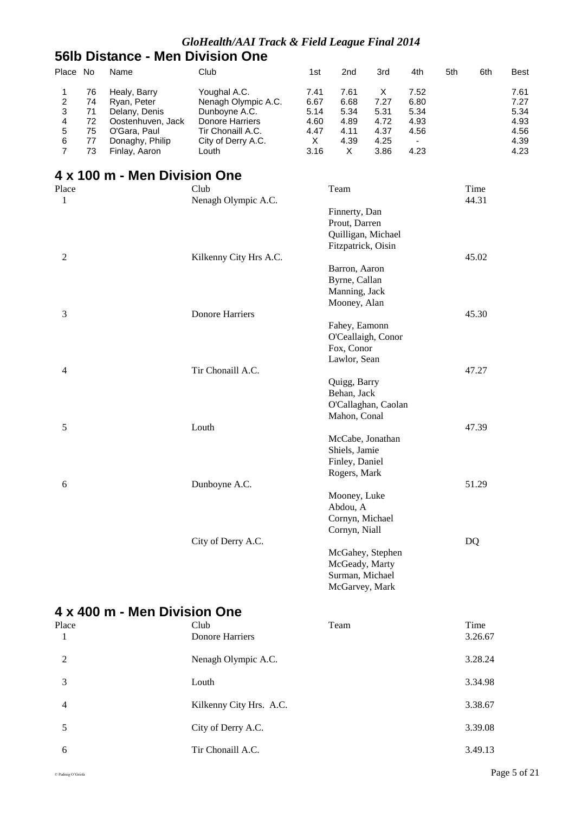### **56lb Distance - Men Division One**

| Place No                                                                                 |                                        | Name                                                                                                                  | Club                                                                                                                        | 1st                                               | 2nd                                                                        | 3rd                                               | 4th                                                                      | 5th | 6th           | <b>Best</b>                                          |
|------------------------------------------------------------------------------------------|----------------------------------------|-----------------------------------------------------------------------------------------------------------------------|-----------------------------------------------------------------------------------------------------------------------------|---------------------------------------------------|----------------------------------------------------------------------------|---------------------------------------------------|--------------------------------------------------------------------------|-----|---------------|------------------------------------------------------|
| 1<br>$\overline{\mathbf{c}}$<br>3<br>$\overline{\mathbf{4}}$<br>5<br>6<br>$\overline{7}$ | 76<br>74<br>71<br>72<br>75<br>77<br>73 | Healy, Barry<br>Ryan, Peter<br>Delany, Denis<br>Oostenhuven, Jack<br>O'Gara, Paul<br>Donaghy, Philip<br>Finlay, Aaron | Youghal A.C.<br>Nenagh Olympic A.C.<br>Dunboyne A.C.<br>Donore Harriers<br>Tir Chonaill A.C.<br>City of Derry A.C.<br>Louth | 7.41<br>6.67<br>5.14<br>4.60<br>4.47<br>X<br>3.16 | 7.61<br>6.68<br>5.34<br>4.89<br>4.11<br>4.39<br>X                          | X<br>7.27<br>5.31<br>4.72<br>4.37<br>4.25<br>3.86 | 7.52<br>6.80<br>5.34<br>4.93<br>4.56<br>$\overline{\phantom{a}}$<br>4.23 |     |               | 7.61<br>7.27<br>5.34<br>4.93<br>4.56<br>4.39<br>4.23 |
|                                                                                          |                                        | 4 x 100 m - Men Division One                                                                                          |                                                                                                                             |                                                   |                                                                            |                                                   |                                                                          |     |               |                                                      |
| Place                                                                                    |                                        |                                                                                                                       | Club<br>Nenagh Olympic A.C.                                                                                                 |                                                   | Team                                                                       |                                                   |                                                                          |     | Time<br>44.31 |                                                      |
| $\mathbf{1}$                                                                             |                                        |                                                                                                                       |                                                                                                                             |                                                   | Finnerty, Dan<br>Prout, Darren<br>Quilligan, Michael<br>Fitzpatrick, Oisin |                                                   |                                                                          |     |               |                                                      |
| $\boldsymbol{2}$                                                                         |                                        |                                                                                                                       | Kilkenny City Hrs A.C.                                                                                                      |                                                   | Barron, Aaron                                                              |                                                   |                                                                          |     | 45.02         |                                                      |
|                                                                                          |                                        |                                                                                                                       |                                                                                                                             |                                                   | Byrne, Callan<br>Manning, Jack<br>Mooney, Alan                             |                                                   |                                                                          |     |               |                                                      |
| 3                                                                                        |                                        |                                                                                                                       | Donore Harriers                                                                                                             |                                                   | Fahey, Eamonn                                                              |                                                   |                                                                          |     | 45.30         |                                                      |
|                                                                                          |                                        |                                                                                                                       |                                                                                                                             |                                                   | O'Ceallaigh, Conor<br>Fox, Conor<br>Lawlor, Sean                           |                                                   |                                                                          |     |               |                                                      |
| 4                                                                                        |                                        |                                                                                                                       | Tir Chonaill A.C.                                                                                                           |                                                   | Quigg, Barry                                                               |                                                   |                                                                          |     | 47.27         |                                                      |
|                                                                                          |                                        |                                                                                                                       |                                                                                                                             |                                                   | Behan, Jack<br>O'Callaghan, Caolan<br>Mahon, Conal                         |                                                   |                                                                          |     |               |                                                      |
| 5                                                                                        |                                        |                                                                                                                       | Louth                                                                                                                       |                                                   | McCabe, Jonathan<br>Shiels, Jamie<br>Finley, Daniel                        |                                                   |                                                                          |     | 47.39         |                                                      |
| 6                                                                                        |                                        |                                                                                                                       | Dunboyne A.C.                                                                                                               |                                                   | Rogers, Mark                                                               |                                                   |                                                                          |     | 51.29         |                                                      |
|                                                                                          |                                        |                                                                                                                       |                                                                                                                             |                                                   | Mooney, Luke<br>Abdou, A<br>Cornyn, Michael<br>Cornyn, Niall               |                                                   |                                                                          |     |               |                                                      |
|                                                                                          |                                        |                                                                                                                       | City of Derry A.C.                                                                                                          |                                                   | McGahey, Stephen<br>McGeady, Marty<br>Surman, Michael<br>McGarvey, Mark    |                                                   |                                                                          |     | <b>DQ</b>     |                                                      |
|                                                                                          |                                        | 4 x 400 m - Men Division One                                                                                          |                                                                                                                             |                                                   |                                                                            |                                                   |                                                                          |     |               |                                                      |
| Place                                                                                    |                                        |                                                                                                                       | Club                                                                                                                        |                                                   | Team                                                                       |                                                   |                                                                          |     | Time          |                                                      |
| 1                                                                                        |                                        |                                                                                                                       | <b>Donore Harriers</b>                                                                                                      |                                                   |                                                                            |                                                   |                                                                          |     | 3.26.67       |                                                      |
| $\mathfrak{2}$                                                                           |                                        |                                                                                                                       | Nenagh Olympic A.C.                                                                                                         |                                                   |                                                                            |                                                   |                                                                          |     | 3.28.24       |                                                      |
| 3                                                                                        |                                        |                                                                                                                       | Louth                                                                                                                       |                                                   |                                                                            |                                                   |                                                                          |     | 3.34.98       |                                                      |
| 4                                                                                        |                                        |                                                                                                                       | Kilkenny City Hrs. A.C.                                                                                                     |                                                   |                                                                            |                                                   |                                                                          |     | 3.38.67       |                                                      |
| 5                                                                                        |                                        |                                                                                                                       | City of Derry A.C.                                                                                                          |                                                   |                                                                            |                                                   |                                                                          |     | 3.39.08       |                                                      |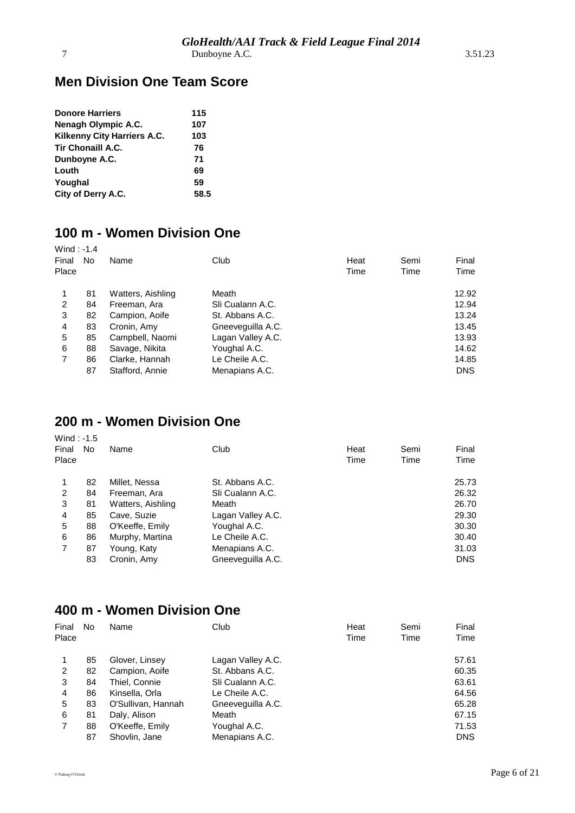### **Men Division One Team Score**

| <b>Donore Harriers</b>      | 115  |
|-----------------------------|------|
| Nenagh Olympic A.C.         | 107  |
| Kilkenny City Harriers A.C. | 103  |
| <b>Tir Chonaill A.C.</b>    | 76   |
| Dunboyne A.C.               | 71   |
| Louth                       | 69   |
| Youghal                     | 59   |
| City of Derry A.C.          | 58.5 |

# **100 m - Women Division One**

| Wind: $-1.4$<br>Final<br>Place | No. | Name              | Club              | Heat<br>Time | Semi<br>Time | Final<br>Time |
|--------------------------------|-----|-------------------|-------------------|--------------|--------------|---------------|
|                                | 81  | Watters, Aishling | Meath             |              |              | 12.92         |
| 2                              | 84  | Freeman, Ara      | Sli Cualann A.C.  |              |              | 12.94         |
| 3                              | 82  | Campion, Aoife    | St. Abbans A.C.   |              |              | 13.24         |
| 4                              | 83  | Cronin, Amy       | Gneeveguilla A.C. |              |              | 13.45         |
| 5                              | 85  | Campbell, Naomi   | Lagan Valley A.C. |              |              | 13.93         |
| 6                              | 88  | Savage, Nikita    | Youghal A.C.      |              |              | 14.62         |
| $\overline{7}$                 | 86  | Clarke, Hannah    | Le Cheile A.C.    |              |              | 14.85         |
|                                | 87  | Stafford, Annie   | Menapians A.C.    |              |              | <b>DNS</b>    |

# **200 m - Women Division One**

| Wind: $-1.5$<br>Final<br>Place | No | Name              | Club              | Heat<br>Time | Semi<br>Time | Final<br>Time |
|--------------------------------|----|-------------------|-------------------|--------------|--------------|---------------|
|                                | 82 | Millet, Nessa     | St. Abbans A.C.   |              |              | 25.73         |
| 2                              | 84 | Freeman, Ara      | Sli Cualann A.C.  |              |              | 26.32         |
| 3                              | 81 | Watters, Aishling | Meath             |              |              | 26.70         |
| 4                              | 85 | Cave, Suzie       | Lagan Valley A.C. |              |              | 29.30         |
| 5                              | 88 | O'Keeffe, Emily   | Youghal A.C.      |              |              | 30.30         |
| 6                              | 86 | Murphy, Martina   | Le Cheile A.C.    |              |              | 30.40         |
| 7                              | 87 | Young, Katy       | Menapians A.C.    |              |              | 31.03         |
|                                | 83 | Cronin, Amy       | Gneeveguilla A.C. |              |              | <b>DNS</b>    |

# **400 m - Women Division One**

| No | Name               | Club              | Heat<br>Time | Semi<br>Time | Final<br>Time |
|----|--------------------|-------------------|--------------|--------------|---------------|
| 85 | Glover, Linsey     | Lagan Valley A.C. |              |              | 57.61         |
| 82 | Campion, Aoife     | St. Abbans A.C.   |              |              | 60.35         |
| 84 | Thiel, Connie      | Sli Cualann A.C.  |              |              | 63.61         |
| 86 | Kinsella, Orla     | Le Cheile A.C.    |              |              | 64.56         |
| 83 | O'Sullivan, Hannah | Gneeveguilla A.C. |              |              | 65.28         |
| 81 | Daly, Alison       | Meath             |              |              | 67.15         |
| 88 | O'Keeffe, Emily    | Youghal A.C.      |              |              | 71.53         |
| 87 | Shovlin, Jane      | Menapians A.C.    |              |              | <b>DNS</b>    |
|    |                    |                   |              |              |               |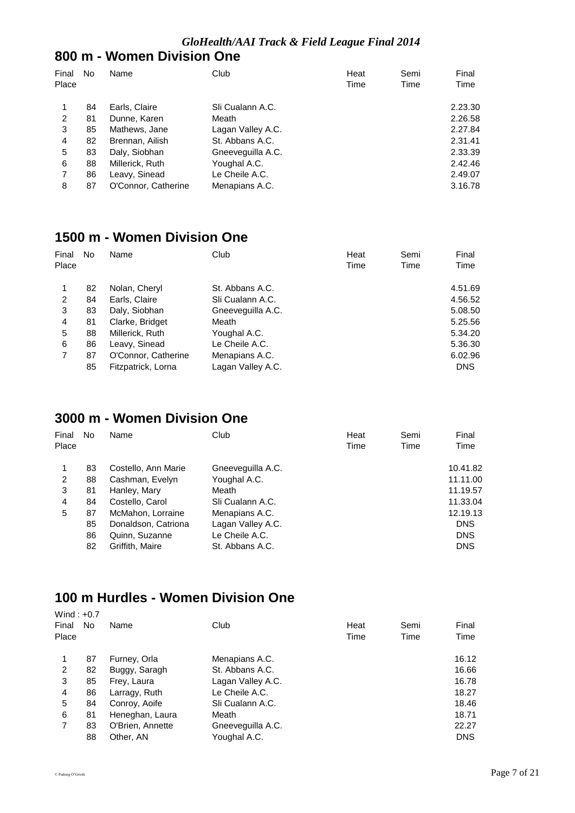#### **800 m - Women Division One**

| Final<br>Place | No | Name                | Club              | Heat<br>Time | Semi<br>Time | Final<br>Time |
|----------------|----|---------------------|-------------------|--------------|--------------|---------------|
|                | 84 | Earls, Claire       | Sli Cualann A.C.  |              |              | 2.23.30       |
| 2              | 81 | Dunne, Karen        | Meath             |              |              | 2.26.58       |
| 3              | 85 | Mathews, Jane       | Lagan Valley A.C. |              |              | 2.27.84       |
| 4              | 82 | Brennan, Ailish     | St. Abbans A.C.   |              |              | 2.31.41       |
| 5              | 83 | Daly, Siobhan       | Gneeveguilla A.C. |              |              | 2.33.39       |
| 6              | 88 | Millerick, Ruth     | Youghal A.C.      |              |              | 2.42.46       |
|                | 86 | Leavy, Sinead       | Le Cheile A.C.    |              |              | 2.49.07       |
| 8              | 87 | O'Connor, Catherine | Menapians A.C.    |              |              | 3.16.78       |

#### **1500 m - Women Division One**

| Final | No | Name                | Club              | Heat | Semi | Final      |
|-------|----|---------------------|-------------------|------|------|------------|
| Place |    |                     |                   | Time | Time | Time       |
|       | 82 | Nolan, Cheryl       | St. Abbans A.C.   |      |      | 4.51.69    |
| 2     | 84 | Earls, Claire       | Sli Cualann A.C.  |      |      | 4.56.52    |
| 3     | 83 | Daly, Siobhan       | Gneeveguilla A.C. |      |      | 5.08.50    |
| 4     | 81 | Clarke, Bridget     | Meath             |      |      | 5.25.56    |
| 5     | 88 | Millerick, Ruth     | Youghal A.C.      |      |      | 5.34.20    |
| 6     | 86 | Leavy, Sinead       | Le Cheile A.C.    |      |      | 5.36.30    |
| 7     | 87 | O'Connor, Catherine | Menapians A.C.    |      |      | 6.02.96    |
|       | 85 | Fitzpatrick, Lorna  | Lagan Valley A.C. |      |      | <b>DNS</b> |

# **3000 m - Women Division One**

| Final<br>Place | No. | Name                | Club              | Heat<br>Time | Semi<br>Time | Final<br>Time |
|----------------|-----|---------------------|-------------------|--------------|--------------|---------------|
| 1              | 83  | Costello, Ann Marie | Gneeveguilla A.C. |              |              | 10.41.82      |
| 2              | 88  | Cashman, Evelyn     | Youghal A.C.      |              |              | 11.11.00      |
| 3              | 81  | Hanley, Mary        | Meath             |              |              | 11.19.57      |
| 4              | 84  | Costello, Carol     | Sli Cualann A.C.  |              |              | 11.33.04      |
| 5              | 87  | McMahon, Lorraine   | Menapians A.C.    |              |              | 12.19.13      |
|                | 85  | Donaldson, Catriona | Lagan Valley A.C. |              |              | <b>DNS</b>    |
|                | 86  | Quinn, Suzanne      | Le Cheile A.C.    |              |              | <b>DNS</b>    |
|                | 82  | Griffith, Maire     | St. Abbans A.C.   |              |              | <b>DNS</b>    |
|                |     |                     |                   |              |              |               |

# **100 m Hurdles - Women Division One**

| Wind: $+0.7$ |    |                  |                   |      |      |            |
|--------------|----|------------------|-------------------|------|------|------------|
| Final        | No | Name             | Club              | Heat | Semi | Final      |
| Place        |    |                  |                   | Time | Time | Time       |
|              |    |                  |                   |      |      |            |
| 1            | 87 | Furney, Orla     | Menapians A.C.    |      |      | 16.12      |
| 2            | 82 | Buggy, Saragh    | St. Abbans A.C.   |      |      | 16.66      |
| 3            | 85 | Frey, Laura      | Lagan Valley A.C. |      |      | 16.78      |
| 4            | 86 | Larragy, Ruth    | Le Cheile A.C.    |      |      | 18.27      |
| 5            | 84 | Conroy, Aoife    | Sli Cualann A.C.  |      |      | 18.46      |
| 6            | 81 | Heneghan, Laura  | Meath             |      |      | 18.71      |
| 7            | 83 | O'Brien, Annette | Gneeveguilla A.C. |      |      | 22.27      |
|              | 88 | Other, AN        | Youghal A.C.      |      |      | <b>DNS</b> |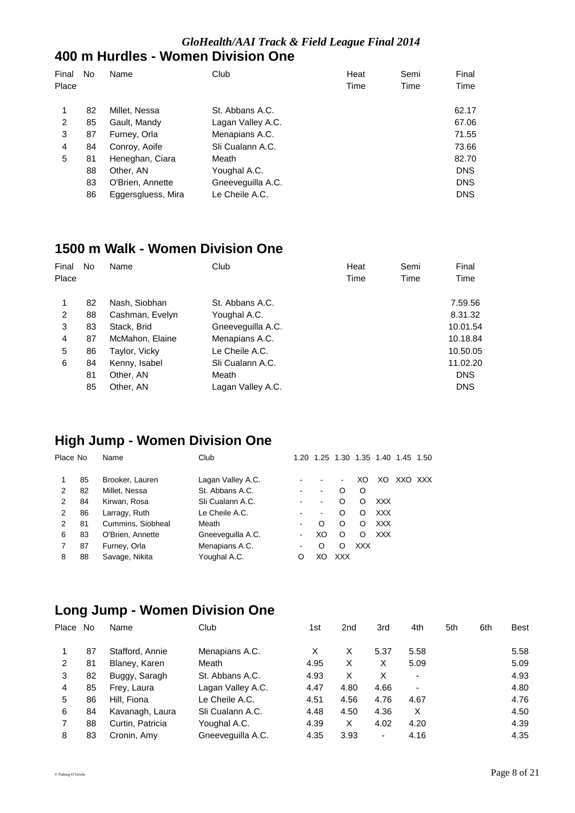#### *GloHealth/AAI Track & Field League Final 2014* **400 m Hurdles - Women Division One**

| Final<br>Place | No. | Name               | Club              | Heat<br>Time | Semi<br>Time | Final<br>Time |
|----------------|-----|--------------------|-------------------|--------------|--------------|---------------|
| 1              | 82  | Millet, Nessa      | St. Abbans A.C.   |              |              | 62.17         |
| 2              | 85  | Gault, Mandy       | Lagan Valley A.C. |              |              | 67.06         |
| 3              | 87  | Furney, Orla       | Menapians A.C.    |              |              | 71.55         |
| 4              | 84  | Conroy, Aoife      | Sli Cualann A.C.  |              |              | 73.66         |
| 5              | 81  | Heneghan, Ciara    | Meath             |              |              | 82.70         |
|                | 88  | Other, AN          | Youghal A.C.      |              |              | <b>DNS</b>    |
|                | 83  | O'Brien, Annette   | Gneeveguilla A.C. |              |              | <b>DNS</b>    |
|                | 86  | Eggersgluess, Mira | Le Cheile A.C.    |              |              | <b>DNS</b>    |

#### **1500 m Walk - Women Division One**

| Final | No | Name            | Club              | Heat | Semi | Final      |
|-------|----|-----------------|-------------------|------|------|------------|
| Place |    |                 |                   | Time | Time | Time       |
| 1     | 82 | Nash, Siobhan   | St. Abbans A.C.   |      |      | 7.59.56    |
| 2     | 88 | Cashman, Evelyn | Youghal A.C.      |      |      | 8.31.32    |
| 3     | 83 | Stack, Brid     | Gneeveguilla A.C. |      |      | 10.01.54   |
| 4     | 87 | McMahon, Elaine | Menapians A.C.    |      |      | 10.18.84   |
| 5     | 86 | Taylor, Vicky   | Le Cheile A.C.    |      |      | 10.50.05   |
| 6     | 84 | Kenny, Isabel   | Sli Cualann A.C.  |      |      | 11.02.20   |
|       | 81 | Other, AN       | Meath             |      |      | <b>DNS</b> |
|       | 85 | Other, AN       | Lagan Valley A.C. |      |      | <b>DNS</b> |

# **High Jump - Women Division One**

| Place No |    | Name              | Club              |   |    | 1.20 1.25 1.30 1.35 1.40 |            |            | 1.45    | 1.50 |
|----------|----|-------------------|-------------------|---|----|--------------------------|------------|------------|---------|------|
|          | 85 | Brooker, Lauren   | Lagan Valley A.C. |   |    |                          | XO         | XO.        | XXO XXX |      |
| 2        | 82 | Millet, Nessa     | St. Abbans A.C.   |   |    | O                        | O          |            |         |      |
| 2        | 84 | Kirwan, Rosa      | Sli Cualann A.C.  |   |    | O                        | Ω          | <b>XXX</b> |         |      |
| 2        | 86 | Larragy, Ruth     | Le Cheile A.C.    |   |    | O                        | O          | <b>XXX</b> |         |      |
| 2        | 81 | Cummins, Siobheal | Meath             |   | O  | O                        | O          | <b>XXX</b> |         |      |
| 6        | 83 | O'Brien, Annette  | Gneeveguilla A.C. |   | XO | O                        | O          | <b>XXX</b> |         |      |
|          | 87 | Furney, Orla      | Menapians A.C.    |   | ∩  | Ω                        | <b>XXX</b> |            |         |      |
| 8        | 88 | Savage, Nikita    | Youghal A.C.      | O | XO | <b>XXX</b>               |            |            |         |      |
|          |    |                   |                   |   |    |                          |            |            |         |      |

# **Long Jump - Women Division One**

| Place | No | Name             | Club              | 1st  | 2nd  | 3rd  | 4th                      | 5th | 6th | Best |
|-------|----|------------------|-------------------|------|------|------|--------------------------|-----|-----|------|
|       | 87 | Stafford, Annie  | Menapians A.C.    | X    | x    | 5.37 | 5.58                     |     |     | 5.58 |
| 2     | 81 | Blaney, Karen    | Meath             | 4.95 | X    | х    | 5.09                     |     |     | 5.09 |
| 3     | 82 | Buggy, Saragh    | St. Abbans A.C.   | 4.93 | x    | х    |                          |     |     | 4.93 |
| 4     | 85 | Frey, Laura      | Lagan Valley A.C. | 4.47 | 4.80 | 4.66 | $\overline{\phantom{0}}$ |     |     | 4.80 |
| 5     | 86 | Hill, Fiona      | Le Cheile A.C.    | 4.51 | 4.56 | 4.76 | 4.67                     |     |     | 4.76 |
| 6     | 84 | Kavanagh, Laura  | Sli Cualann A.C.  | 4.48 | 4.50 | 4.36 | X                        |     |     | 4.50 |
|       | 88 | Curtin, Patricia | Youghal A.C.      | 4.39 | X    | 4.02 | 4.20                     |     |     | 4.39 |
| 8     | 83 | Cronin, Amy      | Gneeveguilla A.C. | 4.35 | 3.93 | ٠    | 4.16                     |     |     | 4.35 |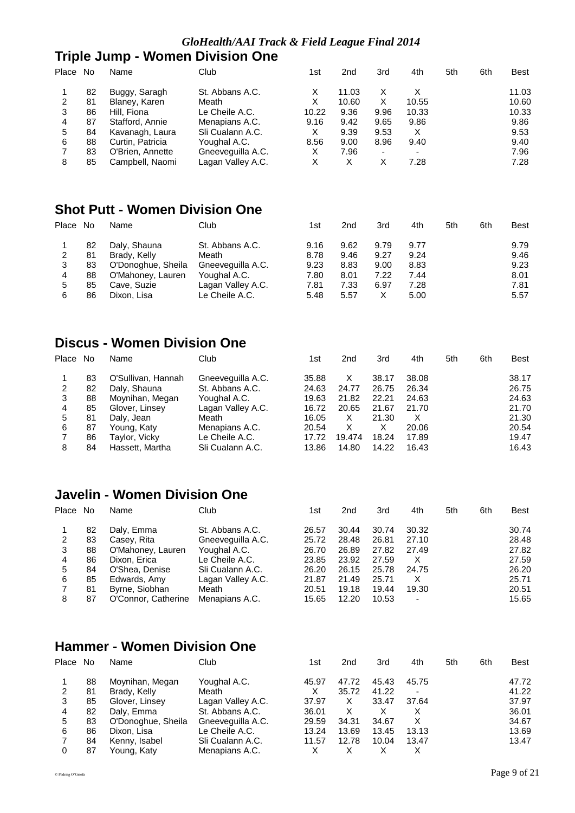#### *GloHealth/AAI Track & Field League Final 2014*

# **Triple Jump - Women Division One**

| Place | . No | Name             | Club              | 1st   | 2nd   | 3rd                      | 4th                      | 5th | 6th | <b>Best</b> |
|-------|------|------------------|-------------------|-------|-------|--------------------------|--------------------------|-----|-----|-------------|
|       | 82   | Buggy, Saragh    | St. Abbans A.C.   | х     | 11.03 | X                        |                          |     |     | 11.03       |
| 2     | 81   | Blaney, Karen    | Meath             | х     | 10.60 | х                        | 10.55                    |     |     | 10.60       |
| 3     | 86   | Hill. Fiona      | Le Cheile A.C.    | 10.22 | 9.36  | 9.96                     | 10.33                    |     |     | 10.33       |
| 4     | 87   | Stafford, Annie  | Menapians A.C.    | 9.16  | 9.42  | 9.65                     | 9.86                     |     |     | 9.86        |
| 5     | 84   | Kavanagh, Laura  | Sli Cualann A.C.  | X     | 9.39  | 9.53                     | х                        |     |     | 9.53        |
| 6     | 88   | Curtin, Patricia | Youghal A.C.      | 8.56  | 9.00  | 8.96                     | 9.40                     |     |     | 9.40        |
|       | 83   | O'Brien, Annette | Gneeveguilla A.C. | X     | 7.96  | $\overline{\phantom{0}}$ | $\overline{\phantom{0}}$ |     |     | 7.96        |
| 8     | 85   | Campbell, Naomi  | Lagan Valley A.C. | х     | х     | Χ                        | 7.28                     |     |     | 7.28        |

# **Shot Putt - Women Division One**

| Place | No. | Name               | Club              | 1st  | 2nd  | 3rd  | 4th  | 5th | 6th | <b>Best</b> |
|-------|-----|--------------------|-------------------|------|------|------|------|-----|-----|-------------|
|       | 82  | Daly, Shauna       | St. Abbans A.C.   | 9.16 | 9.62 | 9.79 | 9.77 |     |     | 9.79        |
| 2     | 81  | Brady, Kelly       | Meath             | 8.78 | 9.46 | 9.27 | 9.24 |     |     | 9.46        |
| 3     | 83  | O'Donoghue, Sheila | Gneeveguilla A.C. | 9.23 | 8.83 | 9.00 | 8.83 |     |     | 9.23        |
| 4     | 88  | O'Mahoney, Lauren  | Youghal A.C.      | 7.80 | 8.01 | 7.22 | 7.44 |     |     | 8.01        |
| 5     | 85  | Cave, Suzie        | Lagan Valley A.C. | 7.81 | 7.33 | 6.97 | 7.28 |     |     | 7.81        |
| 6     | 86  | Dixon, Lisa        | Le Cheile A.C.    | 5.48 | 5.57 | Χ    | 5.00 |     |     | 5.57        |
|       |     |                    |                   |      |      |      |      |     |     |             |

# **Discus - Women Division One**

|    |                    |                   | 1st   |        |       |       |     |     | Best  |
|----|--------------------|-------------------|-------|--------|-------|-------|-----|-----|-------|
| 83 | O'Sullivan, Hannah | Gneeveguilla A.C. | 35.88 | X      | 38.17 | 38.08 |     |     | 38.17 |
| 82 | Daly, Shauna       | St. Abbans A.C.   | 24.63 | 24.77  | 26.75 | 26.34 |     |     | 26.75 |
| 88 | Moynihan, Megan    | Youghal A.C.      | 19.63 | 21.82  | 22.21 | 24.63 |     |     | 24.63 |
| 85 | Glover, Linsey     | Lagan Valley A.C. | 16.72 | 20.65  | 21.67 | 21.70 |     |     | 21.70 |
| 81 | Daly, Jean         | Meath             | 16.05 | X      | 21.30 |       |     |     | 21.30 |
| 87 | Young, Katy        | Menapians A.C.    | 20.54 | x      | x     | 20.06 |     |     | 20.54 |
| 86 | Taylor, Vicky      | Le Cheile A.C.    | 17.72 | 19.474 | 18.24 | 17.89 |     |     | 19.47 |
| 84 | Hassett, Martha    | Sli Cualann A.C.  | 13.86 | 14.80  | 14.22 | 16.43 |     |     | 16.43 |
|    | No                 | Name              | Club  |        | 2nd   | 3rd   | 4th | 5th | 6th   |

# **Javelin - Women Division One**

| Place | No | Name                | Club              | 1st   | 2 <sub>nd</sub> | 3rd   | 4th            | 5th | 6th | Best  |
|-------|----|---------------------|-------------------|-------|-----------------|-------|----------------|-----|-----|-------|
|       | 82 | Daly, Emma          | St. Abbans A.C.   | 26.57 | 30.44           | 30.74 | 30.32          |     |     | 30.74 |
| 2     | 83 | Casey, Rita         | Gneeveguilla A.C. | 25.72 | 28.48           | 26.81 | 27.10          |     |     | 28.48 |
| 3     | 88 | O'Mahoney, Lauren   | Youghal A.C.      | 26.70 | 26.89           | 27.82 | 27.49          |     |     | 27.82 |
| 4     | 86 | Dixon, Erica        | Le Cheile A.C.    | 23.85 | 23.92           | 27.59 | х              |     |     | 27.59 |
| 5     | 84 | O'Shea, Denise      | Sli Cualann A.C.  | 26.20 | 26.15           | 25.78 | 24.75          |     |     | 26.20 |
| 6     | 85 | Edwards, Amy        | Lagan Valley A.C. | 21.87 | 21.49           | 25.71 | х              |     |     | 25.71 |
|       | 81 | Byrne, Siobhan      | Meath             | 20.51 | 19.18           | 19.44 | 19.30          |     |     | 20.51 |
| 8     | 87 | O'Connor, Catherine | Menapians A.C.    | 15.65 | 12.20           | 10.53 | $\blacksquare$ |     |     | 15.65 |

# **Hammer - Women Division One**

| Place No |    | Name               | Club              | 1st   | 2nd   | 3rd   | 4th   | 5th | 6th | <b>Best</b> |
|----------|----|--------------------|-------------------|-------|-------|-------|-------|-----|-----|-------------|
|          | 88 | Moynihan, Megan    | Youghal A.C.      | 45.97 | 47.72 | 45.43 | 45.75 |     |     | 47.72       |
| 2        | 81 | Brady, Kelly       | Meath             | X     | 35.72 | 41.22 | -     |     |     | 41.22       |
| 3        | 85 | Glover, Linsey     | Lagan Valley A.C. | 37.97 | X     | 33.47 | 37.64 |     |     | 37.97       |
| 4        | 82 | Daly, Emma         | St. Abbans A.C.   | 36.01 | х     |       |       |     |     | 36.01       |
| 5        | 83 | O'Donoghue, Sheila | Gneeveguilla A.C. | 29.59 | 34.31 | 34.67 |       |     |     | 34.67       |
| 6        | 86 | Dixon, Lisa        | Le Cheile A.C.    | 13.24 | 13.69 | 13.45 | 13.13 |     |     | 13.69       |
|          | 84 | Kenny, Isabel      | Sli Cualann A.C.  | 11.57 | 12.78 | 10.04 | 13.47 |     |     | 13.47       |
|          | 87 | Young, Katy        | Menapians A.C.    |       |       |       |       |     |     |             |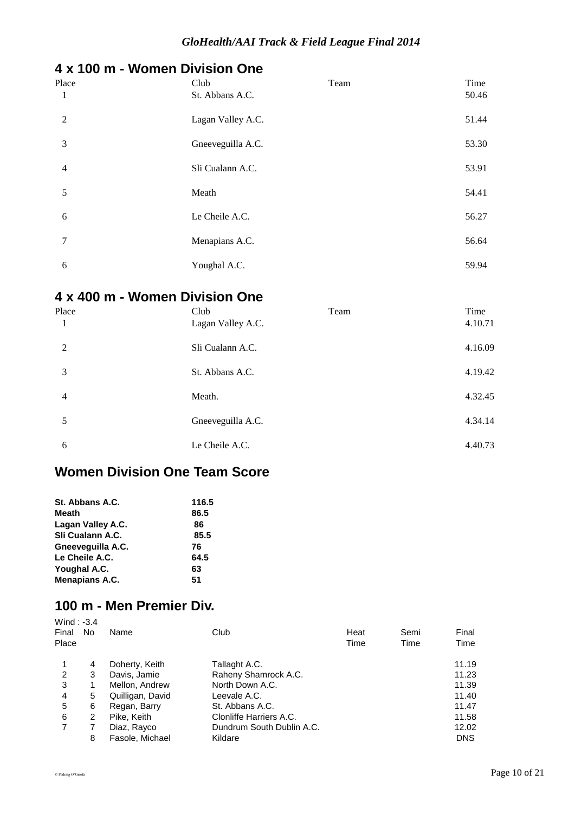# **4 x 100 m - Women Division One**

| Place<br>1     | Club<br>St. Abbans A.C. | Team | Time<br>50.46 |
|----------------|-------------------------|------|---------------|
| 2              | Lagan Valley A.C.       |      | 51.44         |
| 3              | Gneeveguilla A.C.       |      | 53.30         |
| $\overline{4}$ | Sli Cualann A.C.        |      | 53.91         |
| 5              | Meath                   |      | 54.41         |
| 6              | Le Cheile A.C.          |      | 56.27         |
| 7              | Menapians A.C.          |      | 56.64         |
| 6              | Youghal A.C.            |      | 59.94         |

# **4 x 400 m - Women Division One**

| Place          | Club<br>Lagan Valley A.C. | Team | Time<br>4.10.71 |
|----------------|---------------------------|------|-----------------|
| 2              | Sli Cualann A.C.          |      | 4.16.09         |
| 3              | St. Abbans A.C.           |      | 4.19.42         |
| $\overline{4}$ | Meath.                    |      | 4.32.45         |
| 5              | Gneeveguilla A.C.         |      | 4.34.14         |
| 6              | Le Cheile A.C.            |      | 4.40.73         |

# **Women Division One Team Score**

| St. Abbans A.C.   | 116.5 |
|-------------------|-------|
| Meath             | 86.5  |
| Lagan Valley A.C. | 86    |
| Sli Cualann A.C.  | 85.5  |
| Gneevequilla A.C. | 76    |
| Le Cheile A.C.    | 64.5  |
| Youghal A.C.      | 63    |
| Menapians A.C.    | 51    |
|                   |       |

#### **100 m - Men Premier Div.** Wind  $\cdot$  -3.4

| Final<br>Place | No | Name             | Club                      | Heat<br>Time | Semi<br>Time | Final<br>Time |
|----------------|----|------------------|---------------------------|--------------|--------------|---------------|
|                | 4  | Doherty, Keith   | Tallaght A.C.             |              |              | 11.19         |
| 2              | 3  | Davis, Jamie     | Raheny Shamrock A.C.      |              |              | 11.23         |
| 3              |    | Mellon, Andrew   | North Down A.C.           |              |              | 11.39         |
| 4              | 5  | Quilligan, David | Leevale A.C.              |              |              | 11.40         |
| 5              | 6  | Regan, Barry     | St. Abbans A.C.           |              |              | 11.47         |
| 6              | 2  | Pike, Keith      | Clonliffe Harriers A.C.   |              |              | 11.58         |
| 7              |    | Diaz, Rayco      | Dundrum South Dublin A.C. |              |              | 12.02         |
|                | 8  | Fasole, Michael  | Kildare                   |              |              | <b>DNS</b>    |
|                |    |                  |                           |              |              |               |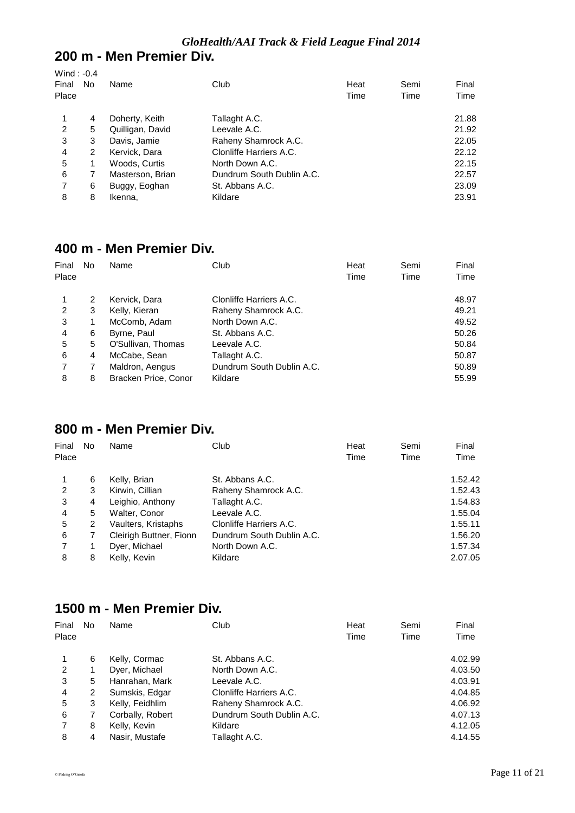# **200 m - Men Premier Div.**

| Wind: $-0.4$<br>Final<br>Place | No | Name             | Club                      | Heat<br>Time | Semi<br>Time | Final<br>Time |
|--------------------------------|----|------------------|---------------------------|--------------|--------------|---------------|
|                                | 4  | Doherty, Keith   | Tallaght A.C.             |              |              | 21.88         |
| 2                              | 5  | Quilligan, David | Leevale A.C.              |              |              | 21.92         |
| 3                              | 3  | Davis, Jamie     | Raheny Shamrock A.C.      |              |              | 22.05         |
| 4                              | 2  | Kervick, Dara    | Clonliffe Harriers A.C.   |              |              | 22.12         |
| 5                              | 1  | Woods, Curtis    | North Down A.C.           |              |              | 22.15         |
| 6                              |    | Masterson, Brian | Dundrum South Dublin A.C. |              |              | 22.57         |
| 7                              | 6  | Buggy, Eoghan    | St. Abbans A.C.           |              |              | 23.09         |
| 8                              | 8  | Ikenna.          | Kildare                   |              |              | 23.91         |

## **400 m - Men Premier Div.**

| Final | No | Name                 | Club                      | Heat | Semi | Final |
|-------|----|----------------------|---------------------------|------|------|-------|
| Place |    |                      |                           | Time | Time | Time  |
|       | 2  | Kervick, Dara        | Clonliffe Harriers A.C.   |      |      | 48.97 |
| 2     | 3  | Kelly, Kieran        | Raheny Shamrock A.C.      |      |      | 49.21 |
| 3     | 1  | McComb, Adam         | North Down A.C.           |      |      | 49.52 |
| 4     | 6  | Byrne, Paul          | St. Abbans A.C.           |      |      | 50.26 |
| 5     | 5  | O'Sullivan, Thomas   | Leevale A.C.              |      |      | 50.84 |
| 6     | 4  | McCabe, Sean         | Tallaght A.C.             |      |      | 50.87 |
| 7     | 7  | Maldron, Aengus      | Dundrum South Dublin A.C. |      |      | 50.89 |
| 8     | 8  | Bracken Price, Conor | Kildare                   |      |      | 55.99 |

#### **800 m - Men Premier Div.**

| Final | No | Name                    | Club                      | Heat | Semi | Final   |
|-------|----|-------------------------|---------------------------|------|------|---------|
| Place |    |                         |                           | Time | Time | Time    |
|       | 6  | Kelly, Brian            | St. Abbans A.C.           |      |      | 1.52.42 |
| 2     | 3  | Kirwin, Cillian         | Raheny Shamrock A.C.      |      |      | 1.52.43 |
| 3     | 4  | Leighio, Anthony        | Tallaght A.C.             |      |      | 1.54.83 |
| 4     | 5  | Walter, Conor           | Leevale A.C.              |      |      | 1.55.04 |
| 5     | 2  | Vaulters, Kristaphs     | Clonliffe Harriers A.C.   |      |      | 1.55.11 |
| 6     |    | Cleirigh Buttner, Fionn | Dundrum South Dublin A.C. |      |      | 1.56.20 |
|       |    | Dyer, Michael           | North Down A.C.           |      |      | 1.57.34 |
| 8     | 8  | Kelly, Kevin            | Kildare                   |      |      | 2.07.05 |

#### **1500 m - Men Premier Div.**

| Final<br>Place | No | Name             | Club                      | Heat<br>Time | Semi<br>Time | Final<br>Time |
|----------------|----|------------------|---------------------------|--------------|--------------|---------------|
|                | 6  | Kelly, Cormac    | St. Abbans A.C.           |              |              | 4.02.99       |
| 2              |    | Dyer, Michael    | North Down A.C.           |              |              | 4.03.50       |
| 3              | 5  | Hanrahan, Mark   | Leevale A.C.              |              |              | 4.03.91       |
| 4              | 2  | Sumskis, Edgar   | Clonliffe Harriers A.C.   |              |              | 4.04.85       |
| 5              | 3  | Kelly, Feidhlim  | Raheny Shamrock A.C.      |              |              | 4.06.92       |
| 6              |    | Corbally, Robert | Dundrum South Dublin A.C. |              |              | 4.07.13       |
| 7              | 8  | Kelly, Kevin     | Kildare                   |              |              | 4.12.05       |
| 8              | 4  | Nasir, Mustafe   | Tallaght A.C.             |              |              | 4.14.55       |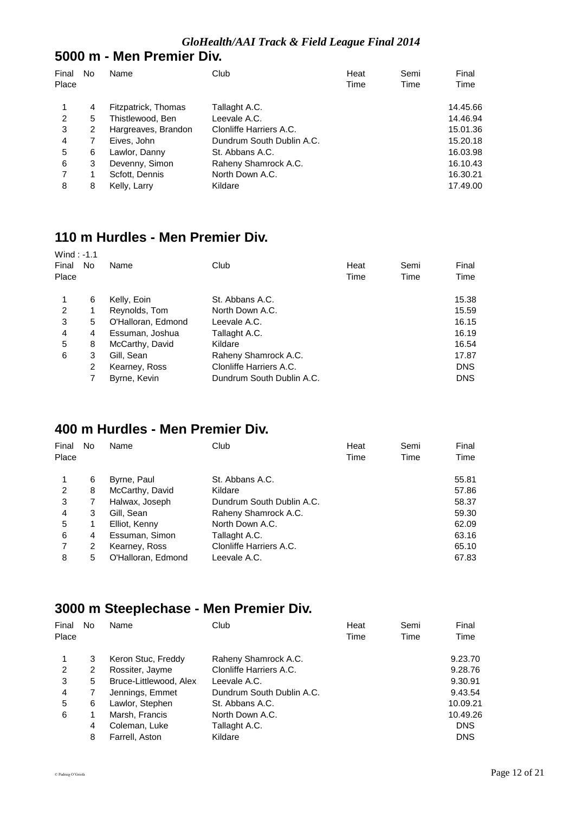### **5000 m - Men Premier Div.**

| Final<br>Place | No | Name                | Club                      | Heat<br>Time | Semi<br>Time | Final<br>Time |
|----------------|----|---------------------|---------------------------|--------------|--------------|---------------|
| 1              | 4  | Fitzpatrick, Thomas | Tallaght A.C.             |              |              | 14.45.66      |
| 2              | 5  | Thistlewood, Ben    | Leevale A.C.              |              |              | 14.46.94      |
| 3              | 2  | Hargreaves, Brandon | Clonliffe Harriers A.C.   |              |              | 15.01.36      |
| 4              | 7  | Eives, John         | Dundrum South Dublin A.C. |              |              | 15.20.18      |
| 5              | 6  | Lawlor, Danny       | St. Abbans A.C.           |              |              | 16.03.98      |
| 6              | 3  | Devenny, Simon      | Raheny Shamrock A.C.      |              |              | 16.10.43      |
| 7              | 1  | Scfott, Dennis      | North Down A.C.           |              |              | 16.30.21      |
| 8              | 8  | Kelly, Larry        | Kildare                   |              |              | 17.49.00      |

# **110 m Hurdles - Men Premier Div.**

| Wind: $-1.1$<br>Final<br>Place | No. | Name               | Club                      | Heat<br>Time | Semi<br>Time | Final<br>Time |
|--------------------------------|-----|--------------------|---------------------------|--------------|--------------|---------------|
|                                | 6   | Kelly, Eoin        | St. Abbans A.C.           |              |              | 15.38         |
| $\overline{2}$                 |     | Reynolds, Tom      | North Down A.C.           |              |              | 15.59         |
| 3                              | 5   | O'Halloran, Edmond | Leevale A.C.              |              |              | 16.15         |
| 4                              | 4   | Essuman, Joshua    | Tallaght A.C.             |              |              | 16.19         |
| 5                              | 8   | McCarthy, David    | Kildare                   |              |              | 16.54         |
| 6                              | 3   | Gill, Sean         | Raheny Shamrock A.C.      |              |              | 17.87         |
|                                | 2   | Kearney, Ross      | Clonliffe Harriers A.C.   |              |              | <b>DNS</b>    |
|                                |     | Byrne, Kevin       | Dundrum South Dublin A.C. |              |              | <b>DNS</b>    |

# **400 m Hurdles - Men Premier Div.**

| Final<br>Place | No | Name               | Club                      | Heat<br>Time | Semi<br>Time | Final<br>Time |
|----------------|----|--------------------|---------------------------|--------------|--------------|---------------|
|                | 6  | Byrne, Paul        | St. Abbans A.C.           |              |              | 55.81         |
| 2              | 8  | McCarthy, David    | Kildare                   |              |              | 57.86         |
| 3              | 7  | Halwax, Joseph     | Dundrum South Dublin A.C. |              |              | 58.37         |
| 4              | 3  | Gill, Sean         | Raheny Shamrock A.C.      |              |              | 59.30         |
| 5              | 1  | Elliot, Kenny      | North Down A.C.           |              |              | 62.09         |
| 6              | 4  | Essuman, Simon     | Tallaght A.C.             |              |              | 63.16         |
|                | 2  | Kearney, Ross      | Clonliffe Harriers A.C.   |              |              | 65.10         |
| 8              | 5  | O'Halloran, Edmond | Leevale A.C.              |              |              | 67.83         |

### **3000 m Steeplechase - Men Premier Div.**

| Final<br>Place | No | Name                   | Club                      | Heat<br>Time | Semi<br>Time | Final<br>Time |
|----------------|----|------------------------|---------------------------|--------------|--------------|---------------|
| 1              | 3  | Keron Stuc, Freddy     | Raheny Shamrock A.C.      |              |              | 9.23.70       |
| 2              | 2  | Rossiter, Jayme        | Clonliffe Harriers A.C.   |              |              | 9.28.76       |
| 3              | 5  | Bruce-Littlewood, Alex | Leevale A.C.              |              |              | 9.30.91       |
| 4              | 7  | Jennings, Emmet        | Dundrum South Dublin A.C. |              |              | 9.43.54       |
| 5              | 6  | Lawlor, Stephen        | St. Abbans A.C.           |              |              | 10.09.21      |
| 6              |    | Marsh, Francis         | North Down A.C.           |              |              | 10.49.26      |
|                | 4  | Coleman, Luke          | Tallaght A.C.             |              |              | <b>DNS</b>    |
|                | 8  | Farrell, Aston         | Kildare                   |              |              | <b>DNS</b>    |
|                |    |                        |                           |              |              |               |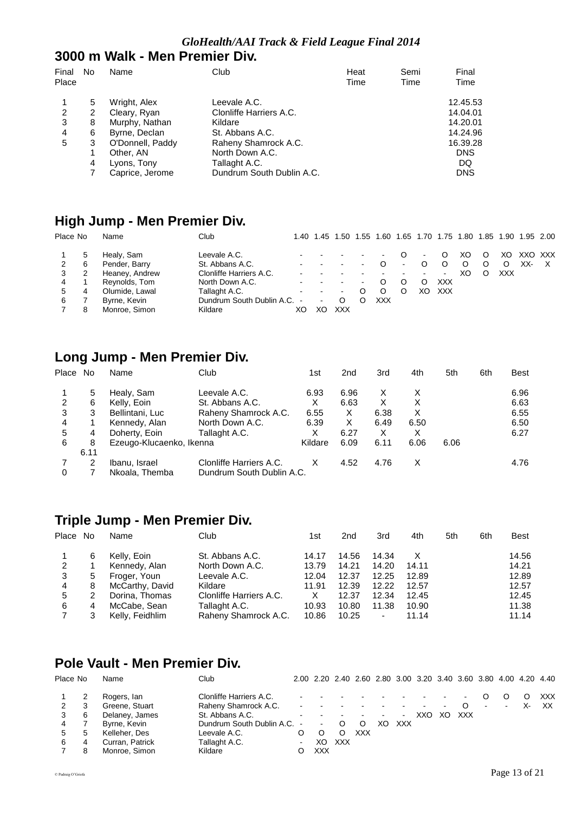#### *GloHealth/AAI Track & Field League Final 2014*

#### **3000 m Walk - Men Premier Div.**

| Final<br>Place | No | Name             | Club                      | Heat<br>Time | Semi<br>Time | Final<br>Time |
|----------------|----|------------------|---------------------------|--------------|--------------|---------------|
|                | 5  | Wright, Alex     | Leevale A.C.              |              |              | 12.45.53      |
| 2              | 2  | Cleary, Ryan     | Clonliffe Harriers A.C.   |              |              | 14.04.01      |
| 3              | 8  | Murphy, Nathan   | Kildare                   |              |              | 14.20.01      |
| 4              | 6  | Byrne, Declan    | St. Abbans A.C.           |              |              | 14.24.96      |
| 5              | 3  | O'Donnell, Paddy | Raheny Shamrock A.C.      |              |              | 16.39.28      |
|                | 1  | Other, AN        | North Down A.C.           |              |              | <b>DNS</b>    |
|                | 4  | Lyons, Tony      | Tallaght A.C.             |              |              | DQ            |
|                |    | Caprice, Jerome  | Dundrum South Dublin A.C. |              |              | <b>DNS</b>    |

### **High Jump - Men Premier Div.**

| Place No |              | Name           | Club                        |        | 1.40 1.45 | 1.50   |        | 1.55 1.60 1.65 1.70 1.75 1.80 1.85 1.90 1.95 2.00 |                          |                |                |    |   |     |         |   |
|----------|--------------|----------------|-----------------------------|--------|-----------|--------|--------|---------------------------------------------------|--------------------------|----------------|----------------|----|---|-----|---------|---|
|          | $\mathbf{p}$ | Healy, Sam     | Leevale A.C.                |        |           |        |        | $\sim$                                            | . O                      | $\blacksquare$ | O              | XO | O | XO. | XXO XXX |   |
|          | 6            | Pender, Barry  | St. Abbans A.C.             |        |           |        | $\sim$ |                                                   | $\blacksquare$           |                | O              | O  | O | O   | XX-     | X |
|          | 2            | Heaney, Andrew | Clonliffe Harriers A.C.     |        |           |        |        |                                                   | $\overline{\phantom{a}}$ | ۰.             | $\blacksquare$ | XO | O | XXX |         |   |
| 4        |              | Reynolds, Tom  | North Down A.C.             |        |           |        | $\sim$ |                                                   |                          |                | XXX            |    |   |     |         |   |
| 5.       | 4            | Olumide, Lawal | Tallaght A.C.               | $\sim$ | $\sim$    | $\sim$ |        |                                                   | O                        | XΟ             | <b>XXX</b>     |    |   |     |         |   |
| 6        |              | Byrne, Kevin   | Dundrum South Dublin A.C. - |        | $\sim$    |        |        | XXX                                               |                          |                |                |    |   |     |         |   |
|          | 8            | Monroe, Simon  | Kildare                     | XС     | XС        | XXX    |        |                                                   |                          |                |                |    |   |     |         |   |

# **Long Jump - Men Premier Div.**

| Place<br>No | Name            | Club                    | 1st                      | 2 <sub>nd</sub>           | 3rd  | 4th  | 5th  | 6th | <b>Best</b> |
|-------------|-----------------|-------------------------|--------------------------|---------------------------|------|------|------|-----|-------------|
| 5           | Healy, Sam      | Leevale A.C.            | 6.93                     | 6.96                      | х    |      |      |     | 6.96        |
| 6           | Kelly, Eoin     | St. Abbans A.C.         | х                        | 6.63                      | х    | X    |      |     | 6.63        |
| 3           | Bellintani, Luc | Raheny Shamrock A.C.    | 6.55                     | х                         | 6.38 | х    |      |     | 6.55        |
|             | Kennedy, Alan   | North Down A.C.         | 6.39                     | X                         | 6.49 | 6.50 |      |     | 6.50        |
| 4           | Doherty, Eoin   | Tallaght A.C.           | X                        | 6.27                      | х    | X    |      |     | 6.27        |
| 8           |                 |                         | Kildare                  | 6.09                      | 6.11 | 6.06 | 6.06 |     |             |
| 6.11        |                 |                         |                          |                           |      |      |      |     |             |
|             | Ibanu, Israel   | Clonliffe Harriers A.C. |                          | 4.52                      | 4.76 | X    |      |     | 4.76        |
|             | Nkoala, Themba  |                         |                          |                           |      |      |      |     |             |
|             |                 |                         | Ezeugo-Klucaenko, Ikenna | Dundrum South Dublin A.C. |      |      |      |     |             |

# **Triple Jump - Men Premier Div.**

| Place No |   | Name            | Club                    | 1st   | 2nd   | 3rd   | 4th   | 5th | 6th | <b>Best</b> |
|----------|---|-----------------|-------------------------|-------|-------|-------|-------|-----|-----|-------------|
|          | 6 | Kelly, Eoin     | St. Abbans A.C.         | 14.17 | 14.56 | 14.34 |       |     |     | 14.56       |
| 2        |   | Kennedy, Alan   | North Down A.C.         | 13.79 | 14.21 | 14.20 | 14.11 |     |     | 14.21       |
| 3        | 5 | Froger, Youn    | Leevale A.C.            | 12.04 | 12.37 | 12.25 | 12.89 |     |     | 12.89       |
| 4        | 8 | McCarthy, David | Kildare                 | 11.91 | 12.39 | 12.22 | 12.57 |     |     | 12.57       |
| 5        |   | Dorina, Thomas  | Clonliffe Harriers A.C. | X     | 12.37 | 12.34 | 12.45 |     |     | 12.45       |
| 6        | 4 | McCabe, Sean    | Tallaght A.C.           | 10.93 | 10.80 | 11.38 | 10.90 |     |     | 11.38       |
|          |   | Kelly, Feidhlim | Raheny Shamrock A.C.    | 10.86 | 10.25 | ۰     | 11.14 |     |     | 11.14       |

### **Pole Vault - Men Premier Div.**

| Place No |   | Name            | Club                        |            | 2.00 2.20 2.40 2.60 2.80 3.00 3.20 3.40 3.60 3.80 4.00 4.20 4.40 |         |            |    |                |                          |        |          |        |        |    |            |
|----------|---|-----------------|-----------------------------|------------|------------------------------------------------------------------|---------|------------|----|----------------|--------------------------|--------|----------|--------|--------|----|------------|
|          |   | Rogers, lan     | Clonliffe Harriers A.C.     |            |                                                                  |         |            |    |                |                          |        |          |        |        |    | <b>XXX</b> |
|          | 3 | Greene, Stuart  | Raheny Shamrock A.C.        |            |                                                                  |         |            |    |                | $\overline{\phantom{a}}$ | $\sim$ | $\Omega$ | $\sim$ | $\sim$ | х- | XX.        |
| 3        | 6 | Delaney, James  | St. Abbans A.C.             |            | <b>Contract Contract</b>                                         |         |            |    | $\blacksquare$ | XXO.                     | XO.    | XXX      |        |        |    |            |
| 4        |   | Byrne, Kevin    | Dundrum South Dublin A.C. - |            | $\sim$                                                           | $\circ$ | $\circ$    | XΟ | <b>XXX</b>     |                          |        |          |        |        |    |            |
| 5        | 5 | Kelleher, Des   | Leevale A.C.                | O          |                                                                  |         | <b>XXX</b> |    |                |                          |        |          |        |        |    |            |
| 6        | 4 | Curran, Patrick | Tallaght A.C.               | $\sim$ $-$ | XO.                                                              | XXX     |            |    |                |                          |        |          |        |        |    |            |
|          | 8 | Monroe, Simon   | Kildare                     |            | XXX                                                              |         |            |    |                |                          |        |          |        |        |    |            |
|          |   |                 |                             |            |                                                                  |         |            |    |                |                          |        |          |        |        |    |            |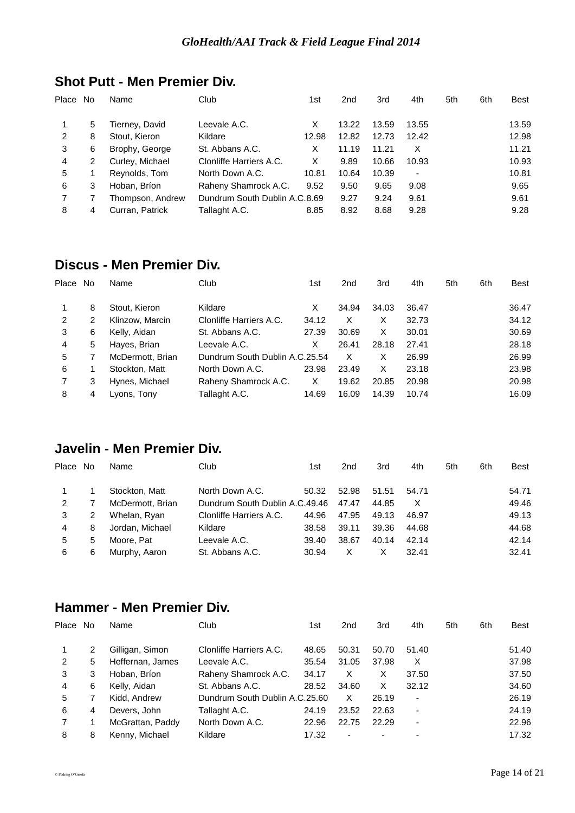| Place | No. | Name             | Club                          | 1st   | 2nd   | 3rd   | 4th   | 5th | 6th | <b>Best</b> |
|-------|-----|------------------|-------------------------------|-------|-------|-------|-------|-----|-----|-------------|
|       | 5   | Tierney, David   | Leevale A.C.                  | х     | 13.22 | 13.59 | 13.55 |     |     | 13.59       |
| 2     | 8   | Stout, Kieron    | Kildare                       | 12.98 | 12.82 | 12.73 | 12.42 |     |     | 12.98       |
| 3     | 6   | Brophy, George   | St. Abbans A.C.               | X     | 11.19 | 11.21 | X     |     |     | 11.21       |
| 4     | 2   | Curley, Michael  | Clonliffe Harriers A.C.       | х     | 9.89  | 10.66 | 10.93 |     |     | 10.93       |
| 5     |     | Reynolds, Tom    | North Down A.C.               | 10.81 | 10.64 | 10.39 |       |     |     | 10.81       |
| 6     | 3   | Hoban, Bríon     | Raheny Shamrock A.C.          | 9.52  | 9.50  | 9.65  | 9.08  |     |     | 9.65        |
|       |     | Thompson, Andrew | Dundrum South Dublin A.C.8.69 |       | 9.27  | 9.24  | 9.61  |     |     | 9.61        |
| 8     | 4   | Curran, Patrick  | Tallaght A.C.                 | 8.85  | 8.92  | 8.68  | 9.28  |     |     | 9.28        |

### **Shot Putt - Men Premier Div.**

### **Discus - Men Premier Div.**

| Place | No | Name             | Club                           | 1st   | 2 <sub>nd</sub> | 3rd   | 4th   | 5th | 6th | <b>Best</b> |
|-------|----|------------------|--------------------------------|-------|-----------------|-------|-------|-----|-----|-------------|
|       | 8  | Stout, Kieron    | Kildare                        | X     | 34.94           | 34.03 | 36.47 |     |     | 36.47       |
| 2     | 2  | Klinzow, Marcin  | Clonliffe Harriers A.C.        | 34.12 | X               | х     | 32.73 |     |     | 34.12       |
| 3     | 6  | Kelly, Aidan     | St. Abbans A.C.                | 27.39 | 30.69           | X     | 30.01 |     |     | 30.69       |
| 4     | 5. | Hayes, Brian     | Leevale A.C.                   | X     | 26.41           | 28.18 | 27.41 |     |     | 28.18       |
| 5     |    | McDermott, Brian | Dundrum South Dublin A.C.25.54 |       | X               | х     | 26.99 |     |     | 26.99       |
| 6     |    | Stockton, Matt   | North Down A.C.                | 23.98 | 23.49           | х     | 23.18 |     |     | 23.98       |
|       | 3  | Hynes, Michael   | Raheny Shamrock A.C.           | X     | 19.62           | 20.85 | 20.98 |     |     | 20.98       |
| 8     | 4  | Lyons, Tony      | Tallaght A.C.                  | 14.69 | 16.09           | 14.39 | 10.74 |     |     | 16.09       |

# **Javelin - Men Premier Div.**

| Place No |   | Name             | Club                           | 1st   | 2 <sub>nd</sub> | 3rd   | 4th   | 5th | 6th | <b>Best</b> |
|----------|---|------------------|--------------------------------|-------|-----------------|-------|-------|-----|-----|-------------|
|          |   | Stockton, Matt   | North Down A.C.                | 50.32 | 52.98           | 51.51 | 54.71 |     |     | 54.71       |
| 2        |   | McDermott, Brian | Dundrum South Dublin A.C.49.46 |       | 47.47           | 44.85 | X     |     |     | 49.46       |
| 3        | 2 | Whelan, Ryan     | Clonliffe Harriers A.C.        | 44.96 | 47.95           | 49.13 | 46.97 |     |     | 49.13       |
| 4        | 8 | Jordan, Michael  | Kildare                        | 38.58 | 39.11           | 39.36 | 44.68 |     |     | 44.68       |
| 5        | 5 | Moore. Pat       | Leevale A.C.                   | 39.40 | 38.67           | 40.14 | 42.14 |     |     | 42.14       |
| 6        | 6 | Murphy, Aaron    | St. Abbans A.C.                | 30.94 | x               |       | 32.41 |     |     | 32.41       |

#### **Hammer - Men Premier Div.**

| Place | No. | Name             | Club                           | 1st   | 2 <sub>nd</sub> | 3rd   | 4th   | 5th | 6th | Best  |
|-------|-----|------------------|--------------------------------|-------|-----------------|-------|-------|-----|-----|-------|
|       | 2   | Gilligan, Simon  | Clonliffe Harriers A.C.        | 48.65 | 50.31           | 50.70 | 51.40 |     |     | 51.40 |
| 2     | 5   | Heffernan, James | Leevale A.C.                   | 35.54 | 31.05           | 37.98 | х     |     |     | 37.98 |
| 3     | 3   | Hoban, Bríon     | Raheny Shamrock A.C.           | 34.17 | X               | х     | 37.50 |     |     | 37.50 |
| 4     | 6   | Kelly, Aidan     | St. Abbans A.C.                | 28.52 | 34.60           | X     | 32.12 |     |     | 34.60 |
| 5     |     | Kidd, Andrew     | Dundrum South Dublin A.C.25.60 |       | X               | 26.19 | -     |     |     | 26.19 |
| 6     | 4   | Devers, John     | Tallaght A.C.                  | 24.19 | 23.52           | 22.63 | -     |     |     | 24.19 |
|       |     | McGrattan, Paddy | North Down A.C.                | 22.96 | 22.75           | 22.29 | -     |     |     | 22.96 |
| 8     | 8   | Kenny, Michael   | Kildare                        | 17.32 | ۰               | -     | -     |     |     | 17.32 |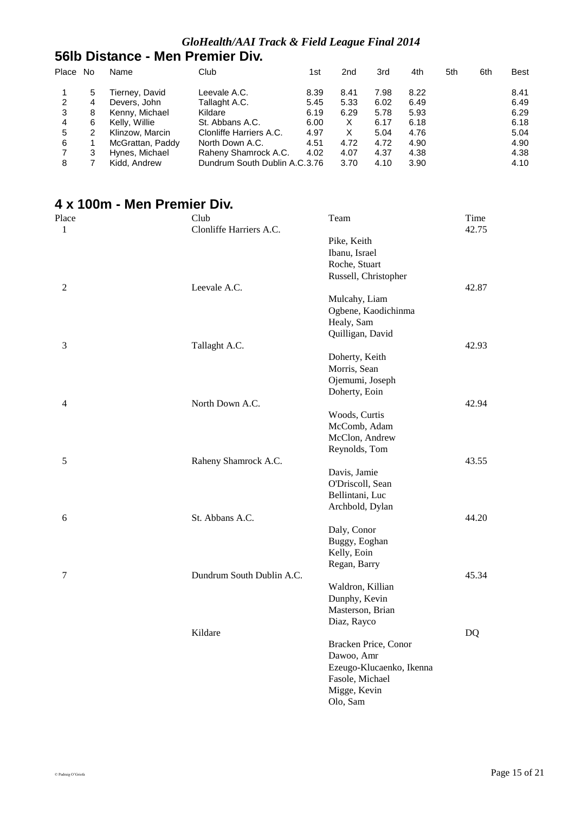### **56lb Distance - Men Premier Div.**

| Place | .No | Name             | Club                          | 1st  | 2nd  | 3rd  | 4th  | 5th | 6th | Best |
|-------|-----|------------------|-------------------------------|------|------|------|------|-----|-----|------|
|       | 5   | Tierney, David   | Leevale A.C.                  | 8.39 | 8.41 | 7.98 | 8.22 |     |     | 8.41 |
| 2     | 4   | Devers, John     | Tallaght A.C.                 | 5.45 | 5.33 | 6.02 | 6.49 |     |     | 6.49 |
| 3     | 8   | Kenny, Michael   | Kildare                       | 6.19 | 6.29 | 5.78 | 5.93 |     |     | 6.29 |
| 4     | 6   | Kelly, Willie    | St. Abbans A.C.               | 6.00 | X    | 6.17 | 6.18 |     |     | 6.18 |
| 5     |     | Klinzow, Marcin  | Clonliffe Harriers A.C.       | 4.97 | X    | 5.04 | 4.76 |     |     | 5.04 |
| 6     |     | McGrattan, Paddy | North Down A.C.               | 4.51 | 4.72 | 4.72 | 4.90 |     |     | 4.90 |
|       |     | Hynes, Michael   | Raheny Shamrock A.C.          | 4.02 | 4.07 | 4.37 | 4.38 |     |     | 4.38 |
| 8     |     | Kidd, Andrew     | Dundrum South Dublin A.C.3.76 |      | 3.70 | 4.10 | 3.90 |     |     | 4.10 |

# **4 x 100m - Men Premier Div.**

| Place | Club<br>Clonliffe Harriers A.C. | Team                         | Time<br>42.75 |
|-------|---------------------------------|------------------------------|---------------|
| 1     |                                 |                              |               |
|       |                                 | Pike, Keith<br>Ibanu, Israel |               |
|       |                                 | Roche, Stuart                |               |
|       |                                 | Russell, Christopher         |               |
| 2     | Leevale A.C.                    |                              | 42.87         |
|       |                                 | Mulcahy, Liam                |               |
|       |                                 | Ogbene, Kaodichinma          |               |
|       |                                 | Healy, Sam                   |               |
|       |                                 | Quilligan, David             |               |
| 3     | Tallaght A.C.                   |                              | 42.93         |
|       |                                 | Doherty, Keith               |               |
|       |                                 | Morris, Sean                 |               |
|       |                                 | Ojemumi, Joseph              |               |
|       |                                 | Doherty, Eoin                |               |
| 4     | North Down A.C.                 |                              | 42.94         |
|       |                                 | Woods, Curtis                |               |
|       |                                 | McComb, Adam                 |               |
|       |                                 | McClon, Andrew               |               |
|       |                                 | Reynolds, Tom                |               |
| 5     | Raheny Shamrock A.C.            |                              | 43.55         |
|       |                                 | Davis, Jamie                 |               |
|       |                                 | O'Driscoll, Sean             |               |
|       |                                 | Bellintani, Luc              |               |
|       |                                 | Archbold, Dylan              |               |
| 6     | St. Abbans A.C.                 |                              | 44.20         |
|       |                                 | Daly, Conor                  |               |
|       |                                 | Buggy, Eoghan                |               |
|       |                                 | Kelly, Eoin                  |               |
|       |                                 | Regan, Barry                 |               |
| 7     | Dundrum South Dublin A.C.       |                              | 45.34         |
|       |                                 | Waldron, Killian             |               |
|       |                                 | Dunphy, Kevin                |               |
|       |                                 | Masterson, Brian             |               |
|       |                                 | Diaz, Rayco                  |               |
|       | Kildare                         |                              | DQ            |
|       |                                 | Bracken Price, Conor         |               |
|       |                                 | Dawoo, Amr                   |               |
|       |                                 | Ezeugo-Klucaenko, Ikenna     |               |
|       |                                 | Fasole, Michael              |               |
|       |                                 | Migge, Kevin                 |               |
|       |                                 | Olo, Sam                     |               |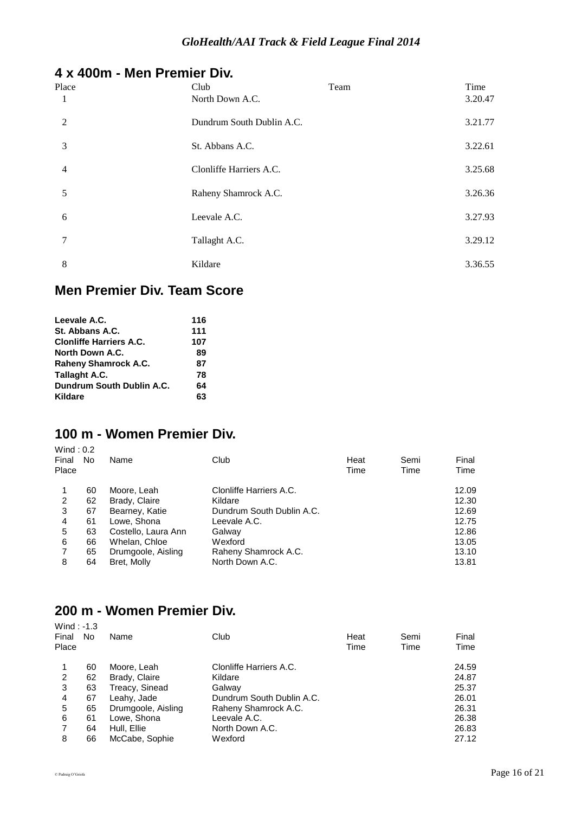# **4 x 400m - Men Premier Div.**

| Place<br>1     | Club<br>North Down A.C.   | Team | Time<br>3.20.47 |
|----------------|---------------------------|------|-----------------|
| 2              | Dundrum South Dublin A.C. |      | 3.21.77         |
| 3              | St. Abbans A.C.           |      | 3.22.61         |
| $\overline{4}$ | Clonliffe Harriers A.C.   |      | 3.25.68         |
| 5              | Raheny Shamrock A.C.      |      | 3.26.36         |
| 6              | Leevale A.C.              |      | 3.27.93         |
| 7              | Tallaght A.C.             |      | 3.29.12         |
| 8              | Kildare                   |      | 3.36.55         |

# **Men Premier Div. Team Score**

| Leevale A.C.                   | 116 |
|--------------------------------|-----|
| St. Abbans A.C.                | 111 |
| <b>Clonliffe Harriers A.C.</b> | 107 |
| North Down A.C.                | 89  |
| <b>Raheny Shamrock A.C.</b>    | 87  |
| Tallaght A.C.                  | 78  |
| Dundrum South Dublin A.C.      | 64  |
| Kildare                        | 63  |

# **100 m - Women Premier Div.**

| Wind: $0.2$<br>Final<br>Place | No | Name                | Club                      | Heat<br>Time | Semi<br>Time | Final<br>Time |
|-------------------------------|----|---------------------|---------------------------|--------------|--------------|---------------|
|                               | 60 | Moore, Leah         | Clonliffe Harriers A.C.   |              |              | 12.09         |
| 2                             | 62 | Brady, Claire       | Kildare                   |              |              | 12.30         |
| 3                             | 67 | Bearney, Katie      | Dundrum South Dublin A.C. |              |              | 12.69         |
| 4                             | 61 | Lowe, Shona         | Leevale A.C.              |              |              | 12.75         |
| 5                             | 63 | Costello, Laura Ann | Galway                    |              |              | 12.86         |
| 6                             | 66 | Whelan, Chloe       | Wexford                   |              |              | 13.05         |
| 7                             | 65 | Drumgoole, Aisling  | Raheny Shamrock A.C.      |              |              | 13.10         |
| 8                             | 64 | Bret, Molly         | North Down A.C.           |              |              | 13.81         |

# **200 m - Women Premier Div.**

| Wind: $-1.3$<br>Final<br>Place | No. | Name               | Club                      | Heat<br>Time | Semi<br>Time | Final<br>Time |
|--------------------------------|-----|--------------------|---------------------------|--------------|--------------|---------------|
|                                | 60  | Moore, Leah        | Clonliffe Harriers A.C.   |              |              | 24.59         |
| 2                              | 62  | Brady, Claire      | Kildare                   |              |              | 24.87         |
| 3                              | 63  | Treacy, Sinead     | Galway                    |              |              | 25.37         |
| 4                              | 67  | Leahy, Jade        | Dundrum South Dublin A.C. |              |              | 26.01         |
| 5                              | 65  | Drumgoole, Aisling | Raheny Shamrock A.C.      |              |              | 26.31         |
| 6                              | 61  | Lowe, Shona        | Leevale A.C.              |              |              | 26.38         |
| 7                              | 64  | Hull, Ellie        | North Down A.C.           |              |              | 26.83         |
| 8                              | 66  | McCabe, Sophie     | Wexford                   |              |              | 27.12         |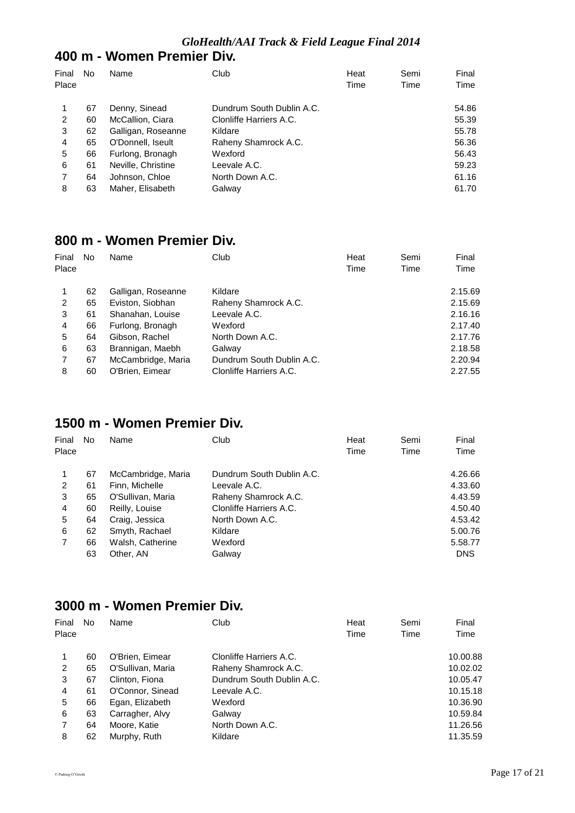# **400 m - Women Premier Div.**

| Final<br>Place | No | Name               | Club                      | Heat<br>Time | Semi<br>Time | Final<br>Time |
|----------------|----|--------------------|---------------------------|--------------|--------------|---------------|
|                |    |                    |                           |              |              |               |
|                | 67 | Denny, Sinead      | Dundrum South Dublin A.C. |              |              | 54.86         |
| 2              | 60 | McCallion, Ciara   | Clonliffe Harriers A.C.   |              |              | 55.39         |
| 3              | 62 | Galligan, Roseanne | Kildare                   |              |              | 55.78         |
| 4              | 65 | O'Donnell, Iseult  | Raheny Shamrock A.C.      |              |              | 56.36         |
| 5              | 66 | Furlong, Bronagh   | Wexford                   |              |              | 56.43         |
| 6              | 61 | Neville, Christine | Leevale A.C.              |              |              | 59.23         |
|                | 64 | Johnson, Chloe     | North Down A.C.           |              |              | 61.16         |
| 8              | 63 | Maher, Elisabeth   | Galway                    |              |              | 61.70         |

# **800 m - Women Premier Div.**

| Final<br>Place | No | Name               | Club                      | Heat<br>Time | Semi<br>Time | Final<br>Time |
|----------------|----|--------------------|---------------------------|--------------|--------------|---------------|
|                | 62 | Galligan, Roseanne | Kildare                   |              |              | 2.15.69       |
| 2              | 65 | Eviston, Siobhan   | Raheny Shamrock A.C.      |              |              | 2.15.69       |
| 3              | 61 | Shanahan, Louise   | Leevale A.C.              |              |              | 2.16.16       |
| 4              | 66 | Furlong, Bronagh   | Wexford                   |              |              | 2.17.40       |
| 5              | 64 | Gibson, Rachel     | North Down A.C.           |              |              | 2.17.76       |
| 6              | 63 | Brannigan, Maebh   | Galway                    |              |              | 2.18.58       |
|                | 67 | McCambridge, Maria | Dundrum South Dublin A.C. |              |              | 2.20.94       |
| 8              | 60 | O'Brien, Eimear    | Clonliffe Harriers A.C.   |              |              | 2.27.55       |

# **1500 m - Women Premier Div.**

| Final | No | Name               | Club                      | Heat | Semi | Final      |
|-------|----|--------------------|---------------------------|------|------|------------|
| Place |    |                    |                           | Time | Time | Time       |
| 1     | 67 | McCambridge, Maria | Dundrum South Dublin A.C. |      |      | 4.26.66    |
| 2     | 61 | Finn, Michelle     | Leevale A.C.              |      |      | 4.33.60    |
| 3     | 65 | O'Sullivan, Maria  | Raheny Shamrock A.C.      |      |      | 4.43.59    |
| 4     | 60 | Reilly, Louise     | Clonliffe Harriers A.C.   |      |      | 4.50.40    |
| 5     | 64 | Craig, Jessica     | North Down A.C.           |      |      | 4.53.42    |
| 6     | 62 | Smyth, Rachael     | Kildare                   |      |      | 5.00.76    |
| 7     | 66 | Walsh, Catherine   | Wexford                   |      |      | 5.58.77    |
|       | 63 | Other, AN          | Galway                    |      |      | <b>DNS</b> |

# **3000 m - Women Premier Div.**

| Final<br>Place | No | Name              | Club                      | Heat<br>Time | Semi<br>Time | Final<br>Time |
|----------------|----|-------------------|---------------------------|--------------|--------------|---------------|
| 1              | 60 | O'Brien, Eimear   | Clonliffe Harriers A.C.   |              |              | 10.00.88      |
| 2              | 65 | O'Sullivan, Maria | Raheny Shamrock A.C.      |              |              | 10.02.02      |
| 3              | 67 | Clinton, Fiona    | Dundrum South Dublin A.C. |              |              | 10.05.47      |
| 4              | 61 | O'Connor, Sinead  | Leevale A.C.              |              |              | 10.15.18      |
| 5              | 66 | Egan, Elizabeth   | Wexford                   |              |              | 10.36.90      |
| 6              | 63 | Carragher, Alvy   | Galway                    |              |              | 10.59.84      |
|                | 64 | Moore, Katie      | North Down A.C.           |              |              | 11.26.56      |
| 8              | 62 | Murphy, Ruth      | Kildare                   |              |              | 11.35.59      |
|                |    |                   |                           |              |              |               |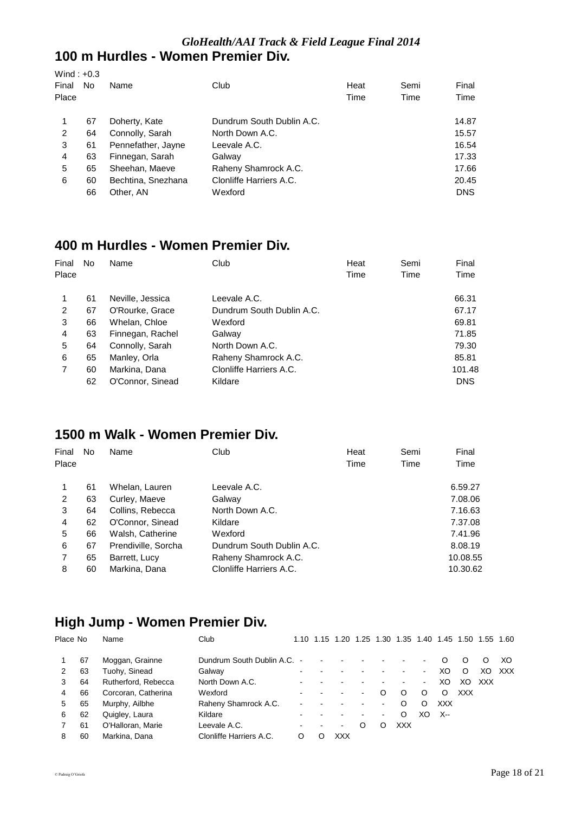#### *GloHealth/AAI Track & Field League Final 2014* **100 m Hurdles - Women Premier Div.**

| Wind: $+0.3$<br>Final<br>Place | No | Name               | Club                      | Heat<br>Time | Semi<br>Time | Final<br>Time |
|--------------------------------|----|--------------------|---------------------------|--------------|--------------|---------------|
| 1                              | 67 | Doherty, Kate      | Dundrum South Dublin A.C. |              |              | 14.87         |
| 2                              | 64 | Connolly, Sarah    | North Down A.C.           |              |              | 15.57         |
| 3                              | 61 | Pennefather, Jayne | Leevale A.C.              |              |              | 16.54         |
| 4                              | 63 | Finnegan, Sarah    | Galway                    |              |              | 17.33         |
| 5                              | 65 | Sheehan, Maeve     | Raheny Shamrock A.C.      |              |              | 17.66         |
| 6                              | 60 | Bechtina, Snezhana | Clonliffe Harriers A.C.   |              |              | 20.45         |
|                                | 66 | Other, AN          | Wexford                   |              |              | <b>DNS</b>    |

# **400 m Hurdles - Women Premier Div.**

| Final | No | Name             | Club                      | Heat | Semi | Final      |
|-------|----|------------------|---------------------------|------|------|------------|
| Place |    |                  |                           | Time | Time | Time       |
|       | 61 | Neville, Jessica | Leevale A.C.              |      |      | 66.31      |
| 2     | 67 | O'Rourke, Grace  | Dundrum South Dublin A.C. |      |      | 67.17      |
| 3     | 66 | Whelan, Chloe    | Wexford                   |      |      | 69.81      |
| 4     | 63 | Finnegan, Rachel | Galway                    |      |      | 71.85      |
| 5     | 64 | Connolly, Sarah  | North Down A.C.           |      |      | 79.30      |
| 6     | 65 | Manley, Orla     | Raheny Shamrock A.C.      |      |      | 85.81      |
| 7     | 60 | Markina, Dana    | Clonliffe Harriers A.C.   |      |      | 101.48     |
|       | 62 | O'Connor, Sinead | Kildare                   |      |      | <b>DNS</b> |

# **1500 m Walk - Women Premier Div.**

| Final | No | Name                | Club                      | Heat | Semi | Final    |
|-------|----|---------------------|---------------------------|------|------|----------|
| Place |    |                     |                           | Time | Time | Time     |
| 1     | 61 | Whelan, Lauren      | Leevale A.C.              |      |      | 6.59.27  |
| 2     | 63 | Curley, Maeve       | Galway                    |      |      | 7.08.06  |
| 3     | 64 | Collins, Rebecca    | North Down A.C.           |      |      | 7.16.63  |
| 4     | 62 | O'Connor, Sinead    | Kildare                   |      |      | 7.37.08  |
| 5     | 66 | Walsh, Catherine    | Wexford                   |      |      | 7.41.96  |
| 6     | 67 | Prendiville, Sorcha | Dundrum South Dublin A.C. |      |      | 8.08.19  |
| 7     | 65 | Barrett, Lucy       | Raheny Shamrock A.C.      |      |      | 10.08.55 |
| 8     | 60 | Markina, Dana       | Clonliffe Harriers A.C.   |      |      | 10.30.62 |

# **High Jump - Women Premier Div.**

| Place No |    | Name                | Club                      |  | 1.10 1.15 1.20 |         |                | 1.25 1.30 1.35 1.40 1.45 1.50 |                          |            |            | 1.55 | 1.60 |
|----------|----|---------------------|---------------------------|--|----------------|---------|----------------|-------------------------------|--------------------------|------------|------------|------|------|
|          | 67 | Moggan, Grainne     | Dundrum South Dublin A.C. |  |                |         |                |                               |                          |            | O          | O    | XO.  |
|          | 63 | Tuohy, Sinead       | Galway                    |  |                |         |                |                               | $\overline{\phantom{0}}$ | XO         | O          | XO.  | XXX  |
| 3        | 64 | Rutherford, Rebecca | North Down A.C.           |  |                |         |                |                               | ۰.                       | XO         | XO         | XXX  |      |
| 4        | 66 | Corcoran, Catherina | Wexford                   |  |                |         |                | O                             | O                        | ∩          | <b>XXX</b> |      |      |
| 5        | 65 | Murphy, Ailbhe      | Raheny Shamrock A.C.      |  |                |         | ۰              | Ω                             | O                        | <b>XXX</b> |            |      |      |
| 6        | 62 | Quigley, Laura      | Kildare                   |  |                |         | $\blacksquare$ | Ω                             | XO                       | X--        |            |      |      |
|          | 61 | O'Halloran, Marie   | Leevale A.C.              |  | $\blacksquare$ | $\circ$ | ი              | <b>XXX</b>                    |                          |            |            |      |      |
| 8        | 60 | Markina, Dana       | Clonliffe Harriers A.C.   |  | XXX            |         |                |                               |                          |            |            |      |      |
|          |    |                     |                           |  |                |         |                |                               |                          |            |            |      |      |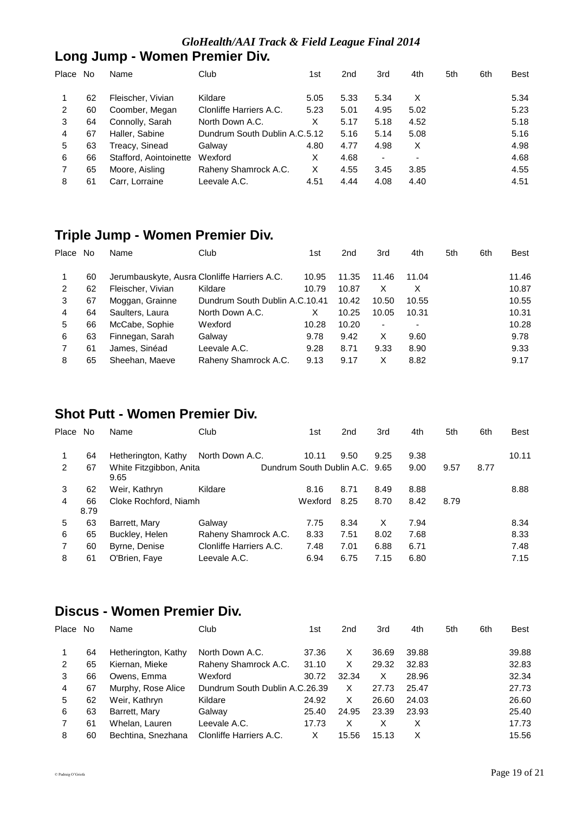#### *GloHealth/AAI Track & Field League Final 2014*

# **Long Jump - Women Premier Div.**

| Place | No | Name                   | Club                          | 1st  | 2 <sub>nd</sub> | 3rd                      | 4th  | 5th | 6th | <b>Best</b> |
|-------|----|------------------------|-------------------------------|------|-----------------|--------------------------|------|-----|-----|-------------|
|       | 62 | Fleischer, Vivian      | Kildare                       | 5.05 | 5.33            | 5.34                     | X    |     |     | 5.34        |
| 2     | 60 | Coomber, Megan         | Clonliffe Harriers A.C.       | 5.23 | 5.01            | 4.95                     | 5.02 |     |     | 5.23        |
| 3     | 64 | Connolly, Sarah        | North Down A.C.               | X    | 5.17            | 5.18                     | 4.52 |     |     | 5.18        |
| 4     | 67 | Haller, Sabine         | Dundrum South Dublin A.C.5.12 |      | 5.16            | 5.14                     | 5.08 |     |     | 5.16        |
| 5     | 63 | Treacy, Sinead         | Galway                        | 4.80 | 4.77            | 4.98                     | X    |     |     | 4.98        |
| 6     | 66 | Stafford, Aointoinette | Wexford                       | X    | 4.68            | $\overline{\phantom{0}}$ | -    |     |     | 4.68        |
|       | 65 | Moore, Aisling         | Raheny Shamrock A.C.          | X    | 4.55            | 3.45                     | 3.85 |     |     | 4.55        |
| 8     | 61 | Carr. Lorraine         | Leevale A.C.                  | 4.51 | 4.44            | 4.08                     | 4.40 |     |     | 4.51        |

# **Triple Jump - Women Premier Div.**

| Place | No | Name                                         | Club                           | 1st   | 2 <sub>nd</sub> | 3rd   | 4th   | 5th | 6th | <b>Best</b> |
|-------|----|----------------------------------------------|--------------------------------|-------|-----------------|-------|-------|-----|-----|-------------|
|       | 60 | Jerumbauskyte, Ausra Clonliffe Harriers A.C. |                                | 10.95 | 11.35           | 11.46 | 11.04 |     |     | 11.46       |
| 2     | 62 | Fleischer, Vivian                            | Kildare                        | 10.79 | 10.87           | x     | х     |     |     | 10.87       |
| 3     | 67 | Moggan, Grainne                              | Dundrum South Dublin A.C.10.41 |       | 10.42           | 10.50 | 10.55 |     |     | 10.55       |
| 4     | 64 | Saulters, Laura                              | North Down A.C.                | X     | 10.25           | 10.05 | 10.31 |     |     | 10.31       |
| 5     | 66 | McCabe, Sophie                               | Wexford                        | 10.28 | 10.20           | ٠     |       |     |     | 10.28       |
| 6     | 63 | Finnegan, Sarah                              | Galway                         | 9.78  | 9.42            | х     | 9.60  |     |     | 9.78        |
|       | 61 | James, Sinéad                                | Leevale A.C.                   | 9.28  | 8.71            | 9.33  | 8.90  |     |     | 9.33        |
| 8     | 65 | Sheehan, Maeve                               | Raheny Shamrock A.C.           | 9.13  | 9.17            | х     | 8.82  |     |     | 9.17        |

# **Shot Putt - Women Premier Div.**

| Place          | No         | Name                            | Club                    | 1st                            | 2 <sub>nd</sub> | 3rd  | 4th  | 5th  | 6th  | <b>Best</b> |
|----------------|------------|---------------------------------|-------------------------|--------------------------------|-----------------|------|------|------|------|-------------|
|                | 64         | Hetherington, Kathy             | North Down A.C.         | 10.11                          | 9.50            | 9.25 | 9.38 |      |      | 10.11       |
| 2              | 67         | White Fitzgibbon, Anita<br>9.65 |                         | Dundrum South Dublin A.C. 9.65 |                 |      | 9.00 | 9.57 | 8.77 |             |
| 3              | 62         | Weir, Kathryn                   | Kildare                 | 8.16                           | 8.71            | 8.49 | 8.88 |      |      | 8.88        |
| $\overline{4}$ | 66<br>8.79 | Cloke Rochford, Niamh           |                         | Wexford                        | 8.25            | 8.70 | 8.42 | 8.79 |      |             |
| 5              | 63         | Barrett, Mary                   | Galway                  | 7.75                           | 8.34            | X    | 7.94 |      |      | 8.34        |
| 6              | 65         | Buckley, Helen                  | Raheny Shamrock A.C.    | 8.33                           | 7.51            | 8.02 | 7.68 |      |      | 8.33        |
| $\overline{7}$ | 60         | Byrne, Denise                   | Clonliffe Harriers A.C. | 7.48                           | 7.01            | 6.88 | 6.71 |      |      | 7.48        |
| 8              | 61         | O'Brien, Faye                   | Leevale A.C.            | 6.94                           | 6.75            | 7.15 | 6.80 |      |      | 7.15        |

# **Discus - Women Premier Div.**

| Place | No. | Name                | Club                           | 1st   | 2 <sub>nd</sub> | 3rd   | 4th   | 5th | 6th | Best  |
|-------|-----|---------------------|--------------------------------|-------|-----------------|-------|-------|-----|-----|-------|
|       | 64  | Hetherington, Kathy | North Down A.C.                | 37.36 | X               | 36.69 | 39.88 |     |     | 39.88 |
| 2     | 65  | Kiernan, Mieke      | Raheny Shamrock A.C.           | 31.10 | X               | 29.32 | 32.83 |     |     | 32.83 |
| 3     | 66  | Owens, Emma         | Wexford                        | 30.72 | 32.34           | х     | 28.96 |     |     | 32.34 |
| 4     | 67  | Murphy, Rose Alice  | Dundrum South Dublin A.C.26.39 |       | X               | 27.73 | 25.47 |     |     | 27.73 |
| 5     | 62  | Weir, Kathryn       | Kildare                        | 24.92 | X               | 26.60 | 24.03 |     |     | 26.60 |
| 6     | 63  | Barrett, Mary       | Galway                         | 25.40 | 24.95           | 23.39 | 23.93 |     |     | 25.40 |
|       | 61  | Whelan, Lauren      | Leevale A.C.                   | 17.73 | X               | x     | х     |     |     | 17.73 |
| 8     | 60  | Bechtina, Snezhana  | Clonliffe Harriers A.C.        | Х     | 15.56           | 15.13 | х     |     |     | 15.56 |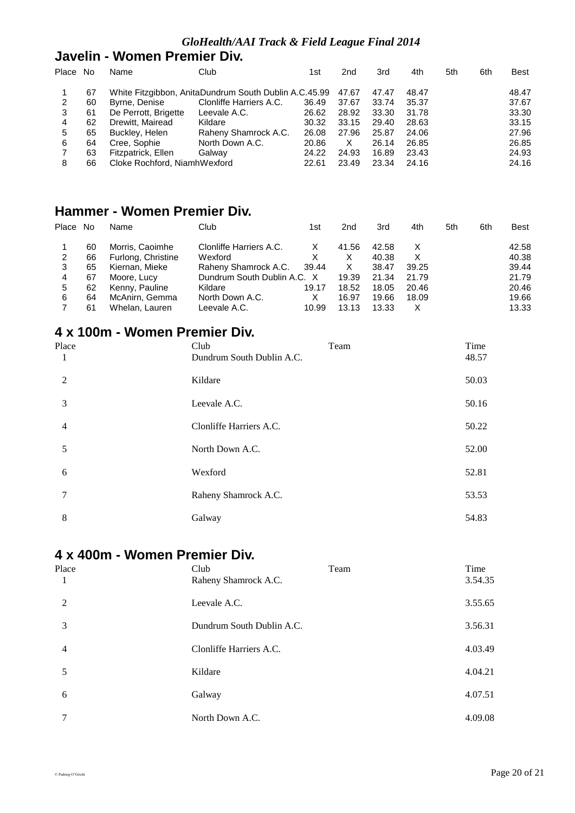### **Javelin - Women Premier Div.**

| Place No |    | Name                         | Club                                                        | 1st   | 2 <sub>nd</sub> | 3rd   | 4th   | 5th | 6th | <b>Best</b> |
|----------|----|------------------------------|-------------------------------------------------------------|-------|-----------------|-------|-------|-----|-----|-------------|
|          | 67 |                              | White Fitzgibbon, AnitaDundrum South Dublin A.C.45.99 47.67 |       |                 | 47.47 | 48.47 |     |     | 48.47       |
| 2        | 60 | Byrne, Denise                | Clonliffe Harriers A.C.                                     | 36.49 | 37.67           | 33.74 | 35.37 |     |     | 37.67       |
| 3        | 61 | De Perrott, Brigette         | Leevale A.C.                                                | 26.62 | 28.92           | 33.30 | 31.78 |     |     | 33.30       |
| 4        | 62 | Drewitt, Mairead             | Kildare                                                     | 30.32 | 33.15           | 29.40 | 28.63 |     |     | 33.15       |
| 5        | 65 | Buckley, Helen               | Raheny Shamrock A.C.                                        | 26.08 | 27.96           | 25.87 | 24.06 |     |     | 27.96       |
| 6        | 64 | Cree, Sophie                 | North Down A.C.                                             | 20.86 | X               | 26.14 | 26.85 |     |     | 26.85       |
|          | 63 | Fitzpatrick, Ellen           | Galway                                                      | 24.22 | 24.93           | 16.89 | 23.43 |     |     | 24.93       |
| 8        | 66 | Cloke Rochford, NiamhWexford |                                                             | 22.61 | 23.49           | 23.34 | 24.16 |     |     | 24.16       |

# **Hammer - Women Premier Div.**

| Place No |    | Name               | Club                        | 1st   | 2nd   | 3rd   | 4th   | 5th | 6th | <b>Best</b> |
|----------|----|--------------------|-----------------------------|-------|-------|-------|-------|-----|-----|-------------|
|          | 60 | Morris, Caoimhe    | Clonliffe Harriers A.C.     | X     | 41.56 | 42.58 | х     |     |     | 42.58       |
| 2        | 66 | Furlong, Christine | Wexford                     | x     | X     | 40.38 | Х     |     |     | 40.38       |
| 3        | 65 | Kiernan, Mieke     | Raheny Shamrock A.C.        | 39.44 | X     | 38.47 | 39.25 |     |     | 39.44       |
| 4        | 67 | Moore, Lucy        | Dundrum South Dublin A.C. X |       | 19.39 | 21.34 | 21.79 |     |     | 21.79       |
| 5        | 62 | Kenny, Pauline     | Kildare                     | 19.17 | 18.52 | 18.05 | 20.46 |     |     | 20.46       |
| 6        | 64 | McAnirn, Gemma     | North Down A.C.             | X     | 16.97 | 19.66 | 18.09 |     |     | 19.66       |
|          | 61 | Whelan, Lauren     | Leevale A.C.                | 10.99 | 13.13 | 13.33 | X     |     |     | 13.33       |

# **4 x 100m - Women Premier Div.**

| Place          | Team<br>Club              | Time  |
|----------------|---------------------------|-------|
| 1              | Dundrum South Dublin A.C. | 48.57 |
| 2              | Kildare                   | 50.03 |
| 3              | Leevale A.C.              | 50.16 |
| $\overline{4}$ | Clonliffe Harriers A.C.   | 50.22 |
| 5              | North Down A.C.           | 52.00 |
| 6              | Wexford                   | 52.81 |
| 7              | Raheny Shamrock A.C.      | 53.53 |
| 8              | Galway                    | 54.83 |

# **4 x 400m - Women Premier Div.**

| Place          | Club<br>Team              | Time    |
|----------------|---------------------------|---------|
| 1              | Raheny Shamrock A.C.      | 3.54.35 |
| 2              | Leevale A.C.              | 3.55.65 |
| 3              | Dundrum South Dublin A.C. | 3.56.31 |
| $\overline{4}$ | Clonliffe Harriers A.C.   | 4.03.49 |
| 5              | Kildare                   | 4.04.21 |
| 6              | Galway                    | 4.07.51 |
|                | North Down A.C.           | 4.09.08 |